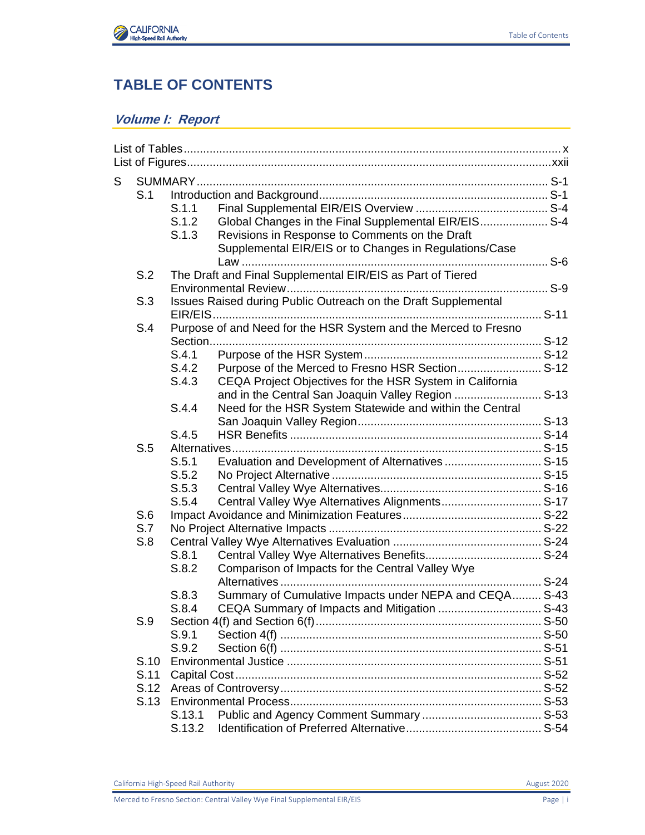

## **TABLE OF CONTENTS**

## **Volume I: Report**

| S |      |        |                                                                 |  |
|---|------|--------|-----------------------------------------------------------------|--|
|   | S.1  |        |                                                                 |  |
|   |      | S.1.1  |                                                                 |  |
|   |      | S.1.2  | Global Changes in the Final Supplemental EIR/EIS S-4            |  |
|   |      | S.1.3  | Revisions in Response to Comments on the Draft                  |  |
|   |      |        | Supplemental EIR/EIS or to Changes in Regulations/Case          |  |
|   |      |        |                                                                 |  |
|   | S.2  |        | The Draft and Final Supplemental EIR/EIS as Part of Tiered      |  |
|   |      |        |                                                                 |  |
|   | S.3  |        | Issues Raised during Public Outreach on the Draft Supplemental  |  |
|   |      |        |                                                                 |  |
|   | S.4  |        | Purpose of and Need for the HSR System and the Merced to Fresno |  |
|   |      |        |                                                                 |  |
|   |      | S.4.1  |                                                                 |  |
|   |      | S.4.2  | Purpose of the Merced to Fresno HSR Section S-12                |  |
|   |      | S.4.3  | CEQA Project Objectives for the HSR System in California        |  |
|   |      |        | and in the Central San Joaquin Valley Region  S-13              |  |
|   |      | S.4.4  | Need for the HSR System Statewide and within the Central        |  |
|   |      |        |                                                                 |  |
|   |      | S.4.5  |                                                                 |  |
|   | S.5  |        |                                                                 |  |
|   |      | S.5.1  | Evaluation and Development of Alternatives  S-15                |  |
|   |      | S.5.2  |                                                                 |  |
|   |      | S.5.3  |                                                                 |  |
|   |      | S.5.4  | Central Valley Wye Alternatives Alignments S-17                 |  |
|   | S.6  |        |                                                                 |  |
|   | S.7  |        |                                                                 |  |
|   | S.8  |        |                                                                 |  |
|   |      | S.8.1  |                                                                 |  |
|   |      | S.8.2  | Comparison of Impacts for the Central Valley Wye                |  |
|   |      |        |                                                                 |  |
|   |      | S.8.3  | Summary of Cumulative Impacts under NEPA and CEQA S-43          |  |
|   |      | S.8.4  |                                                                 |  |
|   | S.9  |        |                                                                 |  |
|   |      | S.9.1  |                                                                 |  |
|   |      | S.9.2  |                                                                 |  |
|   | S.10 |        |                                                                 |  |
|   | S.11 |        |                                                                 |  |
|   | S.12 |        |                                                                 |  |
|   |      |        |                                                                 |  |
|   |      | S.13.1 |                                                                 |  |
|   |      | S.13.2 |                                                                 |  |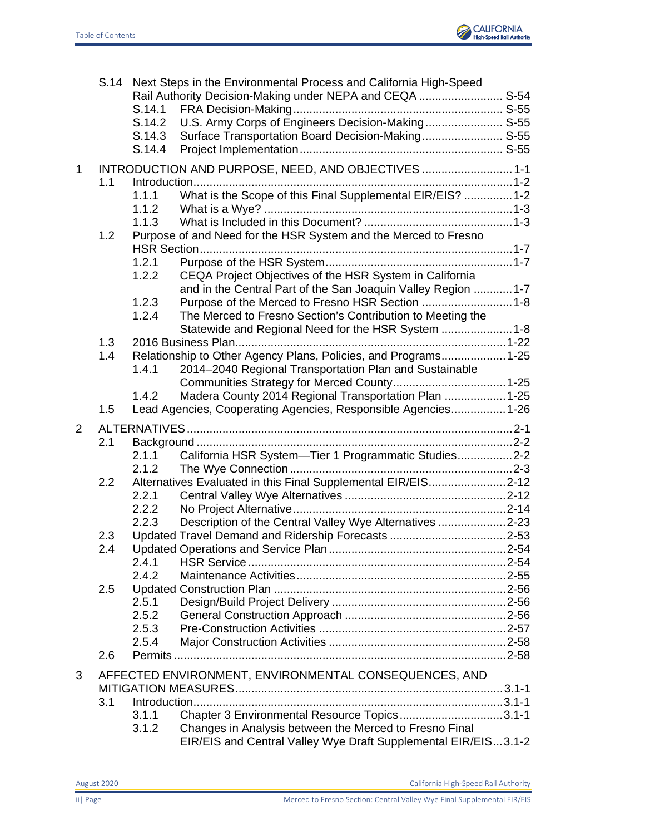

|             |     | S.14.1<br>S.14.2<br>S.14.3<br>S.14.4 | S.14 Next Steps in the Environmental Process and California High-Speed<br>Rail Authority Decision-Making under NEPA and CEQA  S-54<br>U.S. Army Corps of Engineers Decision-Making S-55<br>Surface Transportation Board Decision-Making S-55 |  |
|-------------|-----|--------------------------------------|----------------------------------------------------------------------------------------------------------------------------------------------------------------------------------------------------------------------------------------------|--|
| $\mathbf 1$ | 1.1 | 1.1.1<br>1.1.2                       | INTRODUCTION AND PURPOSE, NEED, AND OBJECTIVES  1-1<br>What is the Scope of this Final Supplemental EIR/EIS?  1-2                                                                                                                            |  |
|             | 1.2 | 1.1.3<br>1.2.1                       | Purpose of and Need for the HSR System and the Merced to Fresno                                                                                                                                                                              |  |
|             |     | 1.2.2<br>1.2.3<br>1.2.4              | CEQA Project Objectives of the HSR System in California<br>and in the Central Part of the San Joaquin Valley Region  1-7<br>Purpose of the Merced to Fresno HSR Section 1-8<br>The Merced to Fresno Section's Contribution to Meeting the    |  |
|             | 1.3 |                                      | Statewide and Regional Need for the HSR System  1-8                                                                                                                                                                                          |  |
|             | 1.4 | 1.4.1                                | Relationship to Other Agency Plans, Policies, and Programs 1-25<br>2014-2040 Regional Transportation Plan and Sustainable                                                                                                                    |  |
|             | 1.5 | 1.4.2                                | Madera County 2014 Regional Transportation Plan  1-25<br>Lead Agencies, Cooperating Agencies, Responsible Agencies 1-26                                                                                                                      |  |
|             |     |                                      |                                                                                                                                                                                                                                              |  |
| 2           |     |                                      |                                                                                                                                                                                                                                              |  |
|             | 2.1 |                                      |                                                                                                                                                                                                                                              |  |
|             |     | 2.1.1                                | California HSR System-Tier 1 Programmatic Studies2-2                                                                                                                                                                                         |  |
|             | 2.2 | 2.1.2                                | Alternatives Evaluated in this Final Supplemental EIR/EIS2-12                                                                                                                                                                                |  |
|             |     | 2.2.1                                |                                                                                                                                                                                                                                              |  |
|             |     | 2.2.2                                |                                                                                                                                                                                                                                              |  |
|             |     | 2.2.3                                | Description of the Central Valley Wye Alternatives 2-23                                                                                                                                                                                      |  |
|             | 2.3 |                                      |                                                                                                                                                                                                                                              |  |
|             | 24  | 2.4.1                                |                                                                                                                                                                                                                                              |  |
|             |     | 2.4.2                                |                                                                                                                                                                                                                                              |  |
|             | 2.5 |                                      |                                                                                                                                                                                                                                              |  |
|             |     | 2.5.1                                |                                                                                                                                                                                                                                              |  |
|             |     | 2.5.2                                |                                                                                                                                                                                                                                              |  |
|             |     | 2.5.3                                |                                                                                                                                                                                                                                              |  |
|             | 2.6 | 2.5.4                                |                                                                                                                                                                                                                                              |  |
|             |     |                                      |                                                                                                                                                                                                                                              |  |
| 3           |     |                                      | AFFECTED ENVIRONMENT, ENVIRONMENTAL CONSEQUENCES, AND                                                                                                                                                                                        |  |
|             | 3.1 |                                      |                                                                                                                                                                                                                                              |  |
|             |     | 3.1.1                                | Chapter 3 Environmental Resource Topics3.1-1<br>Changes in Analysis between the Merced to Fresno Final                                                                                                                                       |  |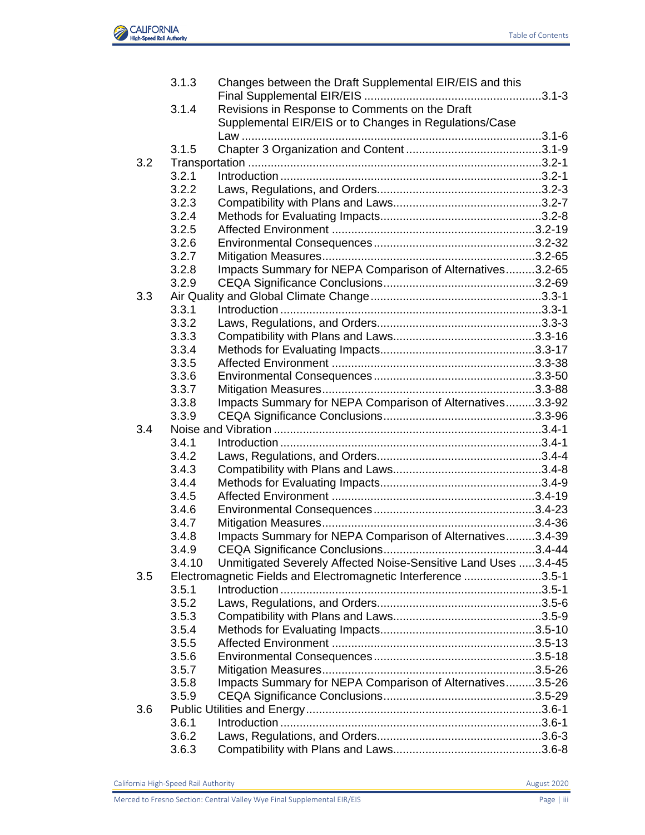

| Revisions in Response to Comments on the Draft<br>3.1.4<br>Supplemental EIR/EIS or to Changes in Regulations/Case<br>3.1.5<br>3.2<br>3.2.1<br>3.2.2<br>3.2.3<br>3.2.4<br>3.2.5<br>3.2.6<br>3.2.7<br>3.2.8<br>3.2.9<br>3.3<br>3.3.1<br>3.3.2<br>3.3.3<br>3.3.4<br>3.3.5<br>3.3.6<br>3.3.7<br>3.3.8<br>3.3.9<br>3.4<br>3.4.1<br>3.4.2<br>3.4.3<br>3.4.4<br>3.4.5<br>3.4.6<br>3.4.7<br>3.4.8<br>3.4.9 | Impacts Summary for NEPA Comparison of Alternatives3.2-65<br>Impacts Summary for NEPA Comparison of Alternatives3.3-92<br>Impacts Summary for NEPA Comparison of Alternatives3.4-39<br>Unmitigated Severely Affected Noise-Sensitive Land Uses 3.4-45<br>3.4.10<br>Electromagnetic Fields and Electromagnetic Interference 3.5-1<br>3.5.1<br>3.5.2<br>3.5.3<br>3.5.4<br>3.5.5<br>3.5.6<br>3.5.7<br>Impacts Summary for NEPA Comparison of Alternatives3.5-26<br>3.5.8<br>3.5.9<br>3.6.1 | 3.1.3 | Changes between the Draft Supplemental EIR/EIS and this |  |
|----------------------------------------------------------------------------------------------------------------------------------------------------------------------------------------------------------------------------------------------------------------------------------------------------------------------------------------------------------------------------------------------------|-----------------------------------------------------------------------------------------------------------------------------------------------------------------------------------------------------------------------------------------------------------------------------------------------------------------------------------------------------------------------------------------------------------------------------------------------------------------------------------------|-------|---------------------------------------------------------|--|
|                                                                                                                                                                                                                                                                                                                                                                                                    |                                                                                                                                                                                                                                                                                                                                                                                                                                                                                         |       |                                                         |  |
|                                                                                                                                                                                                                                                                                                                                                                                                    |                                                                                                                                                                                                                                                                                                                                                                                                                                                                                         |       |                                                         |  |
|                                                                                                                                                                                                                                                                                                                                                                                                    |                                                                                                                                                                                                                                                                                                                                                                                                                                                                                         |       |                                                         |  |
|                                                                                                                                                                                                                                                                                                                                                                                                    |                                                                                                                                                                                                                                                                                                                                                                                                                                                                                         |       |                                                         |  |
|                                                                                                                                                                                                                                                                                                                                                                                                    |                                                                                                                                                                                                                                                                                                                                                                                                                                                                                         |       |                                                         |  |
|                                                                                                                                                                                                                                                                                                                                                                                                    |                                                                                                                                                                                                                                                                                                                                                                                                                                                                                         |       |                                                         |  |
|                                                                                                                                                                                                                                                                                                                                                                                                    |                                                                                                                                                                                                                                                                                                                                                                                                                                                                                         |       |                                                         |  |
|                                                                                                                                                                                                                                                                                                                                                                                                    |                                                                                                                                                                                                                                                                                                                                                                                                                                                                                         |       |                                                         |  |
|                                                                                                                                                                                                                                                                                                                                                                                                    |                                                                                                                                                                                                                                                                                                                                                                                                                                                                                         |       |                                                         |  |
|                                                                                                                                                                                                                                                                                                                                                                                                    |                                                                                                                                                                                                                                                                                                                                                                                                                                                                                         |       |                                                         |  |
|                                                                                                                                                                                                                                                                                                                                                                                                    |                                                                                                                                                                                                                                                                                                                                                                                                                                                                                         |       |                                                         |  |
|                                                                                                                                                                                                                                                                                                                                                                                                    |                                                                                                                                                                                                                                                                                                                                                                                                                                                                                         |       |                                                         |  |
|                                                                                                                                                                                                                                                                                                                                                                                                    |                                                                                                                                                                                                                                                                                                                                                                                                                                                                                         |       |                                                         |  |
|                                                                                                                                                                                                                                                                                                                                                                                                    |                                                                                                                                                                                                                                                                                                                                                                                                                                                                                         |       |                                                         |  |
|                                                                                                                                                                                                                                                                                                                                                                                                    |                                                                                                                                                                                                                                                                                                                                                                                                                                                                                         |       |                                                         |  |
|                                                                                                                                                                                                                                                                                                                                                                                                    |                                                                                                                                                                                                                                                                                                                                                                                                                                                                                         |       |                                                         |  |
|                                                                                                                                                                                                                                                                                                                                                                                                    |                                                                                                                                                                                                                                                                                                                                                                                                                                                                                         |       |                                                         |  |
|                                                                                                                                                                                                                                                                                                                                                                                                    |                                                                                                                                                                                                                                                                                                                                                                                                                                                                                         |       |                                                         |  |
|                                                                                                                                                                                                                                                                                                                                                                                                    |                                                                                                                                                                                                                                                                                                                                                                                                                                                                                         |       |                                                         |  |
|                                                                                                                                                                                                                                                                                                                                                                                                    |                                                                                                                                                                                                                                                                                                                                                                                                                                                                                         |       |                                                         |  |
|                                                                                                                                                                                                                                                                                                                                                                                                    |                                                                                                                                                                                                                                                                                                                                                                                                                                                                                         |       |                                                         |  |
|                                                                                                                                                                                                                                                                                                                                                                                                    |                                                                                                                                                                                                                                                                                                                                                                                                                                                                                         |       |                                                         |  |
|                                                                                                                                                                                                                                                                                                                                                                                                    |                                                                                                                                                                                                                                                                                                                                                                                                                                                                                         |       |                                                         |  |
|                                                                                                                                                                                                                                                                                                                                                                                                    |                                                                                                                                                                                                                                                                                                                                                                                                                                                                                         |       |                                                         |  |
|                                                                                                                                                                                                                                                                                                                                                                                                    |                                                                                                                                                                                                                                                                                                                                                                                                                                                                                         |       |                                                         |  |
|                                                                                                                                                                                                                                                                                                                                                                                                    |                                                                                                                                                                                                                                                                                                                                                                                                                                                                                         |       |                                                         |  |
|                                                                                                                                                                                                                                                                                                                                                                                                    |                                                                                                                                                                                                                                                                                                                                                                                                                                                                                         |       |                                                         |  |
|                                                                                                                                                                                                                                                                                                                                                                                                    |                                                                                                                                                                                                                                                                                                                                                                                                                                                                                         |       |                                                         |  |
|                                                                                                                                                                                                                                                                                                                                                                                                    |                                                                                                                                                                                                                                                                                                                                                                                                                                                                                         |       |                                                         |  |
|                                                                                                                                                                                                                                                                                                                                                                                                    |                                                                                                                                                                                                                                                                                                                                                                                                                                                                                         |       |                                                         |  |
|                                                                                                                                                                                                                                                                                                                                                                                                    |                                                                                                                                                                                                                                                                                                                                                                                                                                                                                         |       |                                                         |  |
|                                                                                                                                                                                                                                                                                                                                                                                                    |                                                                                                                                                                                                                                                                                                                                                                                                                                                                                         |       |                                                         |  |
|                                                                                                                                                                                                                                                                                                                                                                                                    |                                                                                                                                                                                                                                                                                                                                                                                                                                                                                         |       |                                                         |  |
|                                                                                                                                                                                                                                                                                                                                                                                                    |                                                                                                                                                                                                                                                                                                                                                                                                                                                                                         |       |                                                         |  |
|                                                                                                                                                                                                                                                                                                                                                                                                    |                                                                                                                                                                                                                                                                                                                                                                                                                                                                                         |       |                                                         |  |
| 3.5                                                                                                                                                                                                                                                                                                                                                                                                |                                                                                                                                                                                                                                                                                                                                                                                                                                                                                         |       |                                                         |  |
|                                                                                                                                                                                                                                                                                                                                                                                                    |                                                                                                                                                                                                                                                                                                                                                                                                                                                                                         |       |                                                         |  |
|                                                                                                                                                                                                                                                                                                                                                                                                    |                                                                                                                                                                                                                                                                                                                                                                                                                                                                                         |       |                                                         |  |
|                                                                                                                                                                                                                                                                                                                                                                                                    |                                                                                                                                                                                                                                                                                                                                                                                                                                                                                         |       |                                                         |  |
|                                                                                                                                                                                                                                                                                                                                                                                                    |                                                                                                                                                                                                                                                                                                                                                                                                                                                                                         |       |                                                         |  |
|                                                                                                                                                                                                                                                                                                                                                                                                    |                                                                                                                                                                                                                                                                                                                                                                                                                                                                                         |       |                                                         |  |
|                                                                                                                                                                                                                                                                                                                                                                                                    |                                                                                                                                                                                                                                                                                                                                                                                                                                                                                         |       |                                                         |  |
|                                                                                                                                                                                                                                                                                                                                                                                                    |                                                                                                                                                                                                                                                                                                                                                                                                                                                                                         |       |                                                         |  |
|                                                                                                                                                                                                                                                                                                                                                                                                    |                                                                                                                                                                                                                                                                                                                                                                                                                                                                                         |       |                                                         |  |
|                                                                                                                                                                                                                                                                                                                                                                                                    |                                                                                                                                                                                                                                                                                                                                                                                                                                                                                         |       |                                                         |  |
| 3.6                                                                                                                                                                                                                                                                                                                                                                                                |                                                                                                                                                                                                                                                                                                                                                                                                                                                                                         |       |                                                         |  |
|                                                                                                                                                                                                                                                                                                                                                                                                    |                                                                                                                                                                                                                                                                                                                                                                                                                                                                                         |       |                                                         |  |
|                                                                                                                                                                                                                                                                                                                                                                                                    |                                                                                                                                                                                                                                                                                                                                                                                                                                                                                         |       |                                                         |  |
| 3.6.2                                                                                                                                                                                                                                                                                                                                                                                              |                                                                                                                                                                                                                                                                                                                                                                                                                                                                                         | 3.6.3 |                                                         |  |
|                                                                                                                                                                                                                                                                                                                                                                                                    |                                                                                                                                                                                                                                                                                                                                                                                                                                                                                         |       |                                                         |  |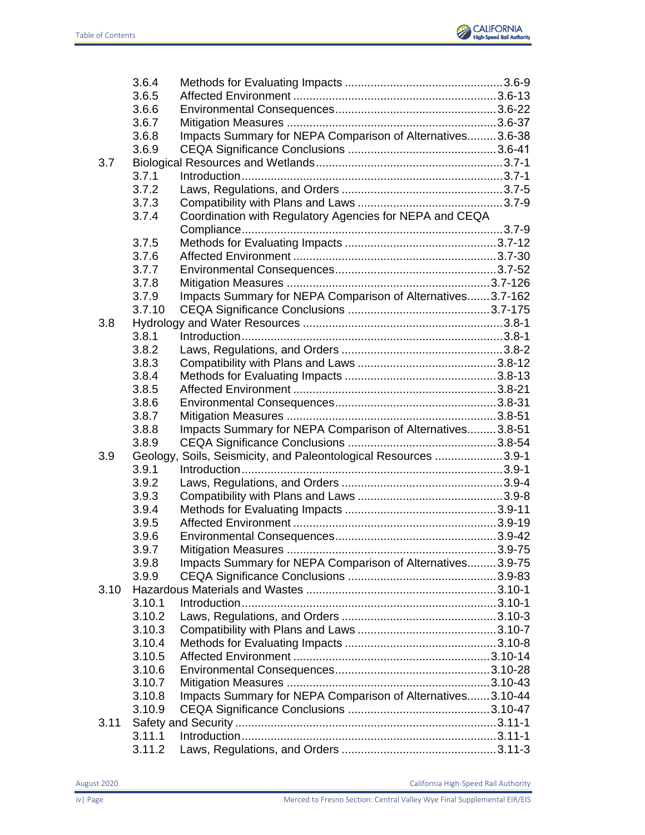

| 3.6.6<br>3.6.7<br>Impacts Summary for NEPA Comparison of Alternatives3.6-38<br>3.6.8<br>3.6.9<br>3.7<br>3.7.1<br>3.7.2<br>3.7.3<br>Coordination with Regulatory Agencies for NEPA and CEQA<br>3.7.4<br>3.7.5<br>3.7.6<br>3.7.7<br>3.7.8<br>Impacts Summary for NEPA Comparison of Alternatives3.7-162<br>3.7.9<br>3.7.10<br>3.8<br>3.8.1<br>3.8.2<br>3.8.3<br>3.8.4<br>3.8.5<br>3.8.6<br>3.8.7<br>Impacts Summary for NEPA Comparison of Alternatives3.8-51<br>3.8.8<br>3.8.9<br>Geology, Soils, Seismicity, and Paleontological Resources 3.9-1<br>3.9<br>3.9.1<br>3.9.2<br>3.9.3<br>3.9.4<br>3.9.5<br>3.9.6<br>$39 - 75$<br>3.9.7<br>Impacts Summary for NEPA Comparison of Alternatives3.9-75<br>3.9.8<br>3.9.9<br>3.10<br>3.10.1<br>3.10.2<br>3.10.3<br>3.10.4<br>3.10.5<br>3.10.6<br>3.10.7<br>Impacts Summary for NEPA Comparison of Alternatives3.10-44<br>3.10.8<br>3.10.9<br>3.11<br>3.11.1 | 3.6.4  |  |
|------------------------------------------------------------------------------------------------------------------------------------------------------------------------------------------------------------------------------------------------------------------------------------------------------------------------------------------------------------------------------------------------------------------------------------------------------------------------------------------------------------------------------------------------------------------------------------------------------------------------------------------------------------------------------------------------------------------------------------------------------------------------------------------------------------------------------------------------------------------------------------------------------|--------|--|
|                                                                                                                                                                                                                                                                                                                                                                                                                                                                                                                                                                                                                                                                                                                                                                                                                                                                                                      | 3.6.5  |  |
|                                                                                                                                                                                                                                                                                                                                                                                                                                                                                                                                                                                                                                                                                                                                                                                                                                                                                                      |        |  |
|                                                                                                                                                                                                                                                                                                                                                                                                                                                                                                                                                                                                                                                                                                                                                                                                                                                                                                      |        |  |
|                                                                                                                                                                                                                                                                                                                                                                                                                                                                                                                                                                                                                                                                                                                                                                                                                                                                                                      |        |  |
|                                                                                                                                                                                                                                                                                                                                                                                                                                                                                                                                                                                                                                                                                                                                                                                                                                                                                                      |        |  |
|                                                                                                                                                                                                                                                                                                                                                                                                                                                                                                                                                                                                                                                                                                                                                                                                                                                                                                      |        |  |
|                                                                                                                                                                                                                                                                                                                                                                                                                                                                                                                                                                                                                                                                                                                                                                                                                                                                                                      |        |  |
|                                                                                                                                                                                                                                                                                                                                                                                                                                                                                                                                                                                                                                                                                                                                                                                                                                                                                                      |        |  |
|                                                                                                                                                                                                                                                                                                                                                                                                                                                                                                                                                                                                                                                                                                                                                                                                                                                                                                      |        |  |
|                                                                                                                                                                                                                                                                                                                                                                                                                                                                                                                                                                                                                                                                                                                                                                                                                                                                                                      |        |  |
|                                                                                                                                                                                                                                                                                                                                                                                                                                                                                                                                                                                                                                                                                                                                                                                                                                                                                                      |        |  |
|                                                                                                                                                                                                                                                                                                                                                                                                                                                                                                                                                                                                                                                                                                                                                                                                                                                                                                      |        |  |
|                                                                                                                                                                                                                                                                                                                                                                                                                                                                                                                                                                                                                                                                                                                                                                                                                                                                                                      |        |  |
|                                                                                                                                                                                                                                                                                                                                                                                                                                                                                                                                                                                                                                                                                                                                                                                                                                                                                                      |        |  |
|                                                                                                                                                                                                                                                                                                                                                                                                                                                                                                                                                                                                                                                                                                                                                                                                                                                                                                      |        |  |
|                                                                                                                                                                                                                                                                                                                                                                                                                                                                                                                                                                                                                                                                                                                                                                                                                                                                                                      |        |  |
|                                                                                                                                                                                                                                                                                                                                                                                                                                                                                                                                                                                                                                                                                                                                                                                                                                                                                                      |        |  |
|                                                                                                                                                                                                                                                                                                                                                                                                                                                                                                                                                                                                                                                                                                                                                                                                                                                                                                      |        |  |
|                                                                                                                                                                                                                                                                                                                                                                                                                                                                                                                                                                                                                                                                                                                                                                                                                                                                                                      |        |  |
|                                                                                                                                                                                                                                                                                                                                                                                                                                                                                                                                                                                                                                                                                                                                                                                                                                                                                                      |        |  |
|                                                                                                                                                                                                                                                                                                                                                                                                                                                                                                                                                                                                                                                                                                                                                                                                                                                                                                      |        |  |
|                                                                                                                                                                                                                                                                                                                                                                                                                                                                                                                                                                                                                                                                                                                                                                                                                                                                                                      |        |  |
|                                                                                                                                                                                                                                                                                                                                                                                                                                                                                                                                                                                                                                                                                                                                                                                                                                                                                                      |        |  |
|                                                                                                                                                                                                                                                                                                                                                                                                                                                                                                                                                                                                                                                                                                                                                                                                                                                                                                      |        |  |
|                                                                                                                                                                                                                                                                                                                                                                                                                                                                                                                                                                                                                                                                                                                                                                                                                                                                                                      |        |  |
|                                                                                                                                                                                                                                                                                                                                                                                                                                                                                                                                                                                                                                                                                                                                                                                                                                                                                                      |        |  |
|                                                                                                                                                                                                                                                                                                                                                                                                                                                                                                                                                                                                                                                                                                                                                                                                                                                                                                      |        |  |
|                                                                                                                                                                                                                                                                                                                                                                                                                                                                                                                                                                                                                                                                                                                                                                                                                                                                                                      |        |  |
|                                                                                                                                                                                                                                                                                                                                                                                                                                                                                                                                                                                                                                                                                                                                                                                                                                                                                                      |        |  |
|                                                                                                                                                                                                                                                                                                                                                                                                                                                                                                                                                                                                                                                                                                                                                                                                                                                                                                      |        |  |
|                                                                                                                                                                                                                                                                                                                                                                                                                                                                                                                                                                                                                                                                                                                                                                                                                                                                                                      |        |  |
|                                                                                                                                                                                                                                                                                                                                                                                                                                                                                                                                                                                                                                                                                                                                                                                                                                                                                                      |        |  |
|                                                                                                                                                                                                                                                                                                                                                                                                                                                                                                                                                                                                                                                                                                                                                                                                                                                                                                      |        |  |
|                                                                                                                                                                                                                                                                                                                                                                                                                                                                                                                                                                                                                                                                                                                                                                                                                                                                                                      |        |  |
|                                                                                                                                                                                                                                                                                                                                                                                                                                                                                                                                                                                                                                                                                                                                                                                                                                                                                                      |        |  |
|                                                                                                                                                                                                                                                                                                                                                                                                                                                                                                                                                                                                                                                                                                                                                                                                                                                                                                      |        |  |
|                                                                                                                                                                                                                                                                                                                                                                                                                                                                                                                                                                                                                                                                                                                                                                                                                                                                                                      |        |  |
|                                                                                                                                                                                                                                                                                                                                                                                                                                                                                                                                                                                                                                                                                                                                                                                                                                                                                                      |        |  |
|                                                                                                                                                                                                                                                                                                                                                                                                                                                                                                                                                                                                                                                                                                                                                                                                                                                                                                      |        |  |
|                                                                                                                                                                                                                                                                                                                                                                                                                                                                                                                                                                                                                                                                                                                                                                                                                                                                                                      |        |  |
|                                                                                                                                                                                                                                                                                                                                                                                                                                                                                                                                                                                                                                                                                                                                                                                                                                                                                                      |        |  |
|                                                                                                                                                                                                                                                                                                                                                                                                                                                                                                                                                                                                                                                                                                                                                                                                                                                                                                      |        |  |
|                                                                                                                                                                                                                                                                                                                                                                                                                                                                                                                                                                                                                                                                                                                                                                                                                                                                                                      |        |  |
|                                                                                                                                                                                                                                                                                                                                                                                                                                                                                                                                                                                                                                                                                                                                                                                                                                                                                                      |        |  |
|                                                                                                                                                                                                                                                                                                                                                                                                                                                                                                                                                                                                                                                                                                                                                                                                                                                                                                      |        |  |
|                                                                                                                                                                                                                                                                                                                                                                                                                                                                                                                                                                                                                                                                                                                                                                                                                                                                                                      |        |  |
|                                                                                                                                                                                                                                                                                                                                                                                                                                                                                                                                                                                                                                                                                                                                                                                                                                                                                                      |        |  |
|                                                                                                                                                                                                                                                                                                                                                                                                                                                                                                                                                                                                                                                                                                                                                                                                                                                                                                      |        |  |
|                                                                                                                                                                                                                                                                                                                                                                                                                                                                                                                                                                                                                                                                                                                                                                                                                                                                                                      |        |  |
|                                                                                                                                                                                                                                                                                                                                                                                                                                                                                                                                                                                                                                                                                                                                                                                                                                                                                                      |        |  |
|                                                                                                                                                                                                                                                                                                                                                                                                                                                                                                                                                                                                                                                                                                                                                                                                                                                                                                      | 3.11.2 |  |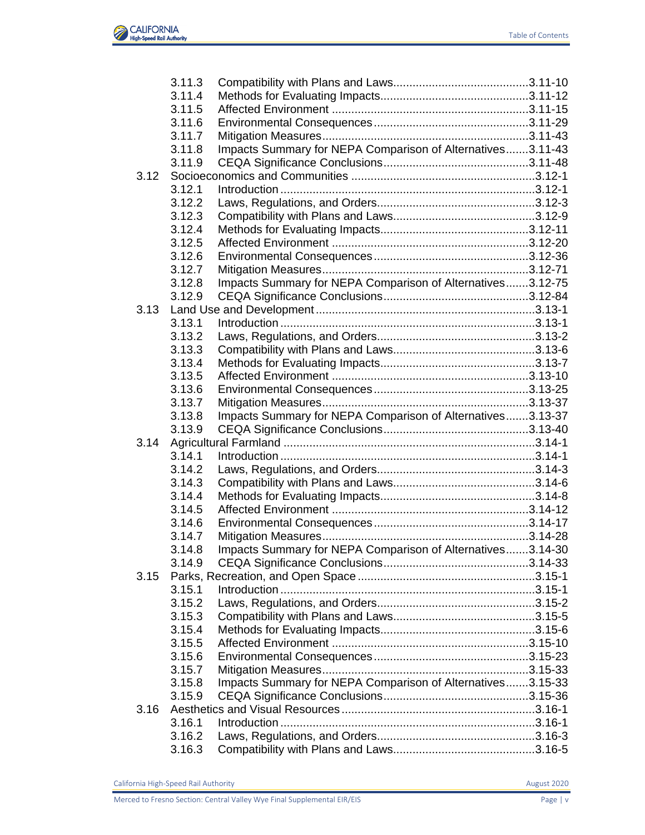

|      | 3.11.3 |                                                            |  |
|------|--------|------------------------------------------------------------|--|
|      | 3.11.4 |                                                            |  |
|      | 3.11.5 |                                                            |  |
|      | 3.11.6 |                                                            |  |
|      | 3.11.7 |                                                            |  |
|      | 3.11.8 | Impacts Summary for NEPA Comparison of Alternatives3.11-43 |  |
|      | 3.11.9 |                                                            |  |
| 3.12 |        |                                                            |  |
|      | 3.12.1 |                                                            |  |
|      | 3.12.2 |                                                            |  |
|      | 3.12.3 |                                                            |  |
|      | 3.12.4 |                                                            |  |
|      | 3.12.5 |                                                            |  |
|      | 3.12.6 |                                                            |  |
|      | 3.12.7 |                                                            |  |
|      | 3.12.8 | Impacts Summary for NEPA Comparison of Alternatives3.12-75 |  |
|      | 3.12.9 |                                                            |  |
| 3.13 |        |                                                            |  |
|      | 3.13.1 |                                                            |  |
|      | 3.13.2 |                                                            |  |
|      | 3.13.3 |                                                            |  |
|      | 3.13.4 |                                                            |  |
|      | 3.13.5 |                                                            |  |
|      | 3.13.6 |                                                            |  |
|      | 3.13.7 |                                                            |  |
|      | 3.13.8 | Impacts Summary for NEPA Comparison of Alternatives3.13-37 |  |
|      | 3.13.9 |                                                            |  |
| 3.14 |        |                                                            |  |
|      | 3.14.1 |                                                            |  |
|      | 3.14.2 |                                                            |  |
|      | 3.14.3 |                                                            |  |
|      | 3.14.4 |                                                            |  |
|      | 3.14.5 |                                                            |  |
|      | 3.14.6 |                                                            |  |
|      | 3.14.7 |                                                            |  |
|      | 3.14.8 | Impacts Summary for NEPA Comparison of Alternatives3.14-30 |  |
|      | 3.14.9 |                                                            |  |
| 3.15 |        |                                                            |  |
|      | 3.15.1 |                                                            |  |
|      | 3.15.2 |                                                            |  |
|      | 3.15.3 |                                                            |  |
|      | 3.15.4 |                                                            |  |
|      | 3.15.5 |                                                            |  |
|      | 3.15.6 |                                                            |  |
|      |        |                                                            |  |
|      | 3.15.7 |                                                            |  |
|      | 3.15.8 | Impacts Summary for NEPA Comparison of Alternatives3.15-33 |  |
|      | 3.15.9 |                                                            |  |
| 3.16 |        |                                                            |  |
|      | 3.16.1 |                                                            |  |
|      | 3.16.2 |                                                            |  |
|      | 3.16.3 |                                                            |  |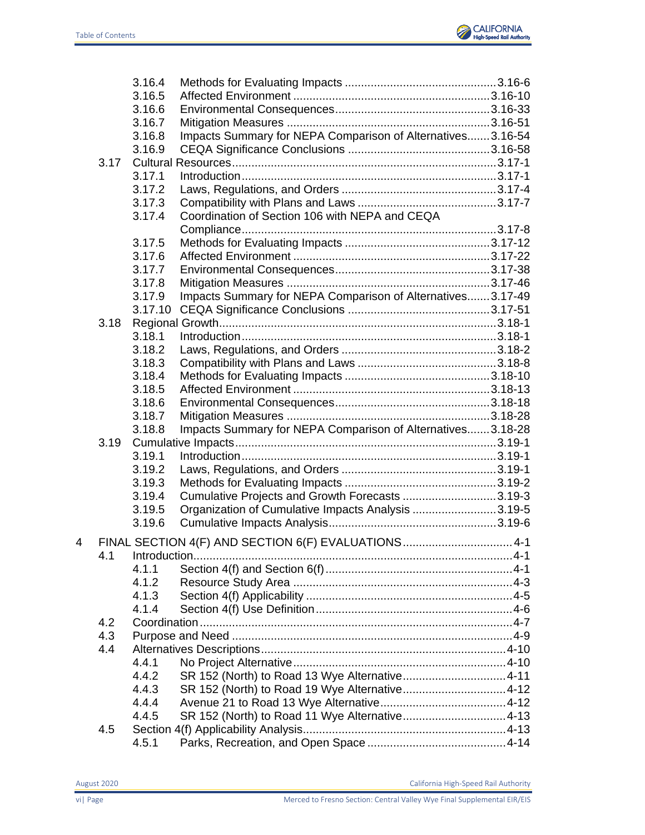

|   |      | 3.16.4  |                                                            |  |
|---|------|---------|------------------------------------------------------------|--|
|   |      | 3.16.5  |                                                            |  |
|   |      | 3.16.6  |                                                            |  |
|   |      | 3.16.7  |                                                            |  |
|   |      | 3.16.8  | Impacts Summary for NEPA Comparison of Alternatives3.16-54 |  |
|   |      | 3.16.9  |                                                            |  |
|   | 3.17 |         |                                                            |  |
|   |      | 3.17.1  |                                                            |  |
|   |      | 3.17.2  |                                                            |  |
|   |      | 3.17.3  |                                                            |  |
|   |      | 3.17.4  | Coordination of Section 106 with NEPA and CEQA             |  |
|   |      |         |                                                            |  |
|   |      | 3.17.5  |                                                            |  |
|   |      | 3.17.6  |                                                            |  |
|   |      | 3.17.7  |                                                            |  |
|   |      | 3.17.8  |                                                            |  |
|   |      | 3.17.9  | Impacts Summary for NEPA Comparison of Alternatives3.17-49 |  |
|   |      | 3.17.10 |                                                            |  |
|   | 3.18 |         |                                                            |  |
|   |      | 3.18.1  |                                                            |  |
|   |      | 3.18.2  |                                                            |  |
|   |      | 3.18.3  |                                                            |  |
|   |      | 3.18.4  |                                                            |  |
|   |      | 3.18.5  |                                                            |  |
|   |      | 3.18.6  |                                                            |  |
|   |      | 3.18.7  |                                                            |  |
|   |      | 3.18.8  | Impacts Summary for NEPA Comparison of Alternatives3.18-28 |  |
|   | 3.19 |         |                                                            |  |
|   |      | 3.19.1  |                                                            |  |
|   |      | 3.19.2  |                                                            |  |
|   |      | 3.19.3  |                                                            |  |
|   |      | 3.19.4  | Cumulative Projects and Growth Forecasts 3.19-3            |  |
|   |      | 3.19.5  | Organization of Cumulative Impacts Analysis 3.19-5         |  |
|   |      | 3.19.6  |                                                            |  |
| 4 |      |         | FINAL SECTION 4(F) AND SECTION 6(F) EVALUATIONS 4-1        |  |
|   | 4.1  |         |                                                            |  |
|   |      | 4.1.1   |                                                            |  |
|   |      | 4.1.2   |                                                            |  |
|   |      | 4.1.3   |                                                            |  |
|   |      | 4.1.4   |                                                            |  |
|   | 4.2  |         |                                                            |  |
|   | 4.3  |         |                                                            |  |
|   | 4.4  |         |                                                            |  |
|   |      | 4.4.1   |                                                            |  |
|   |      | 4.4.2   | SR 152 (North) to Road 13 Wye Alternative4-11              |  |
|   |      | 4.4.3   |                                                            |  |
|   |      | 4.4.4   |                                                            |  |
|   |      | 4.4.5   |                                                            |  |
|   | 4.5  |         |                                                            |  |
|   |      | 4.5.1   |                                                            |  |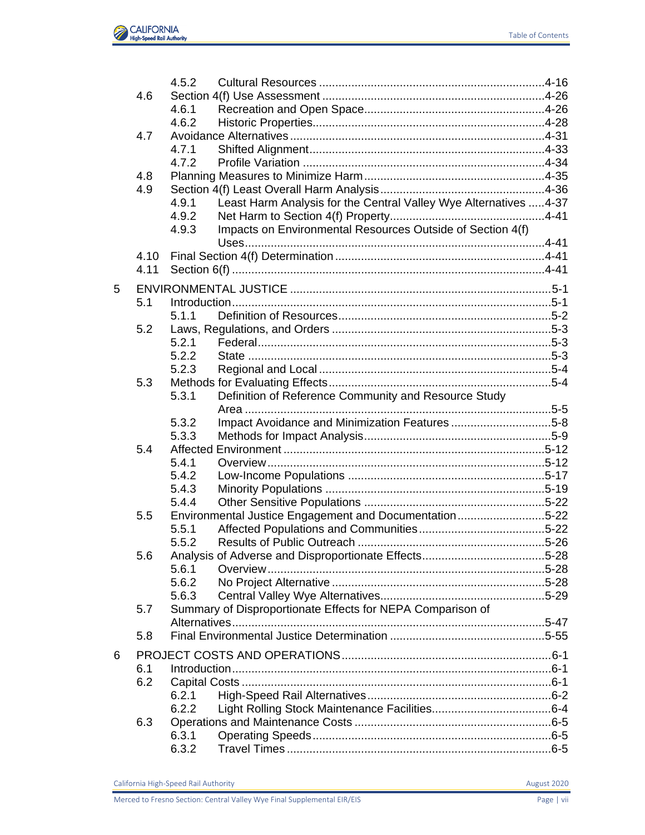|   |      | 4.5.2          |                                                                   |  |
|---|------|----------------|-------------------------------------------------------------------|--|
|   | 4.6  |                |                                                                   |  |
|   |      | 4.6.1          |                                                                   |  |
|   |      | 4.6.2          |                                                                   |  |
|   | 4.7  |                |                                                                   |  |
|   |      | 4.7.1          |                                                                   |  |
|   |      | 4.7.2          |                                                                   |  |
|   | 4.8  |                |                                                                   |  |
|   | 4.9  |                |                                                                   |  |
|   |      | 4.9.1          | Least Harm Analysis for the Central Valley Wye Alternatives  4-37 |  |
|   |      | 4.9.2          |                                                                   |  |
|   |      | 4.9.3          | Impacts on Environmental Resources Outside of Section 4(f)        |  |
|   | 4.10 |                |                                                                   |  |
|   | 4.11 |                |                                                                   |  |
|   |      |                |                                                                   |  |
| 5 |      |                |                                                                   |  |
|   | 5.1  |                |                                                                   |  |
|   |      | 5.1.1          |                                                                   |  |
|   | 5.2  |                |                                                                   |  |
|   |      | 5.2.1          |                                                                   |  |
|   |      | 5.2.2          |                                                                   |  |
|   |      | 5.2.3          |                                                                   |  |
|   | 5.3  |                |                                                                   |  |
|   |      | 5.3.1          | Definition of Reference Community and Resource Study              |  |
|   |      |                |                                                                   |  |
|   |      | 5.3.2<br>5.3.3 | Impact Avoidance and Minimization Features5-8                     |  |
|   | 5.4  |                |                                                                   |  |
|   |      | 5.4.1          |                                                                   |  |
|   |      | 5.4.2          |                                                                   |  |
|   |      | 5.4.3          |                                                                   |  |
|   |      | 5.4.4          |                                                                   |  |
|   | 5.5  |                | Environmental Justice Engagement and Documentation5-22            |  |
|   |      | 5.5.1          |                                                                   |  |
|   |      | 5.5.2          |                                                                   |  |
|   | 5.6  |                |                                                                   |  |
|   |      | 5.6.1          |                                                                   |  |
|   |      | 5.6.2          |                                                                   |  |
|   |      | 5.6.3          |                                                                   |  |
|   | 5.7  |                | Summary of Disproportionate Effects for NEPA Comparison of        |  |
|   |      |                |                                                                   |  |
|   | 5.8  |                |                                                                   |  |
| 6 |      |                |                                                                   |  |
|   | 6.1  |                |                                                                   |  |
|   | 6.2  |                |                                                                   |  |
|   |      | 6.2.1          |                                                                   |  |
|   |      | 6.2.2          |                                                                   |  |
|   | 6.3  |                |                                                                   |  |
|   |      | 6.3.1          |                                                                   |  |
|   |      | 6.3.2          |                                                                   |  |
|   |      |                |                                                                   |  |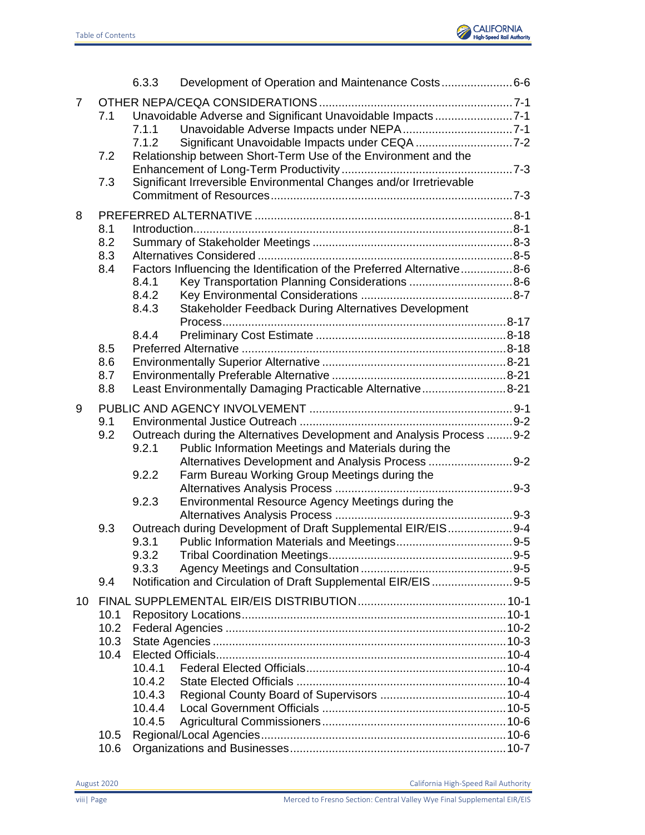

|    |      | 6.3.3  | Development of Operation and Maintenance Costs6-6                      |  |
|----|------|--------|------------------------------------------------------------------------|--|
| 7  |      |        |                                                                        |  |
|    | 7.1  |        | Unavoidable Adverse and Significant Unavoidable Impacts7-1             |  |
|    |      | 7.1.1  |                                                                        |  |
|    |      | 7.1.2  |                                                                        |  |
|    | 7.2  |        | Relationship between Short-Term Use of the Environment and the         |  |
|    |      |        |                                                                        |  |
|    | 7.3  |        | Significant Irreversible Environmental Changes and/or Irretrievable    |  |
|    |      |        |                                                                        |  |
| 8  |      |        |                                                                        |  |
|    | 8.1  |        |                                                                        |  |
|    | 8.2  |        |                                                                        |  |
|    | 8.3  |        |                                                                        |  |
|    | 8.4  |        | Factors Influencing the Identification of the Preferred Alternative8-6 |  |
|    |      | 8.4.1  | Key Transportation Planning Considerations 8-6                         |  |
|    |      | 8.4.2  |                                                                        |  |
|    |      | 8.4.3  | Stakeholder Feedback During Alternatives Development                   |  |
|    |      |        |                                                                        |  |
|    |      | 8.4.4  |                                                                        |  |
|    | 8.5  |        |                                                                        |  |
|    | 8.6  |        |                                                                        |  |
|    | 8.7  |        |                                                                        |  |
|    | 8.8  |        | Least Environmentally Damaging Practicable Alternative8-21             |  |
| 9  |      |        |                                                                        |  |
|    | 9.1  |        |                                                                        |  |
|    | 9.2  |        | Outreach during the Alternatives Development and Analysis Process 9-2  |  |
|    |      | 9.2.1  | Public Information Meetings and Materials during the                   |  |
|    |      |        | Alternatives Development and Analysis Process  9-2                     |  |
|    |      | 9.2.2  | Farm Bureau Working Group Meetings during the                          |  |
|    |      |        |                                                                        |  |
|    |      | 9.2.3  | Environmental Resource Agency Meetings during the                      |  |
|    |      |        |                                                                        |  |
|    | 9.3  |        | Outreach during Development of Draft Supplemental EIR/EIS9-4           |  |
|    |      | 9.3.1  |                                                                        |  |
|    |      | 9.3.2  |                                                                        |  |
|    |      | 9.3.3  |                                                                        |  |
|    | 9.4  |        | Notification and Circulation of Draft Supplemental EIR/EIS9-5          |  |
| 10 |      |        |                                                                        |  |
|    | 10.1 |        |                                                                        |  |
|    | 10.2 |        |                                                                        |  |
|    | 10.3 |        |                                                                        |  |
|    | 10.4 |        |                                                                        |  |
|    |      | 10.4.1 |                                                                        |  |
|    |      | 10.4.2 |                                                                        |  |
|    |      | 10.4.3 |                                                                        |  |
|    |      | 10.4.4 |                                                                        |  |
|    |      | 10.4.5 |                                                                        |  |
|    | 10.5 |        |                                                                        |  |
|    | 10.6 |        |                                                                        |  |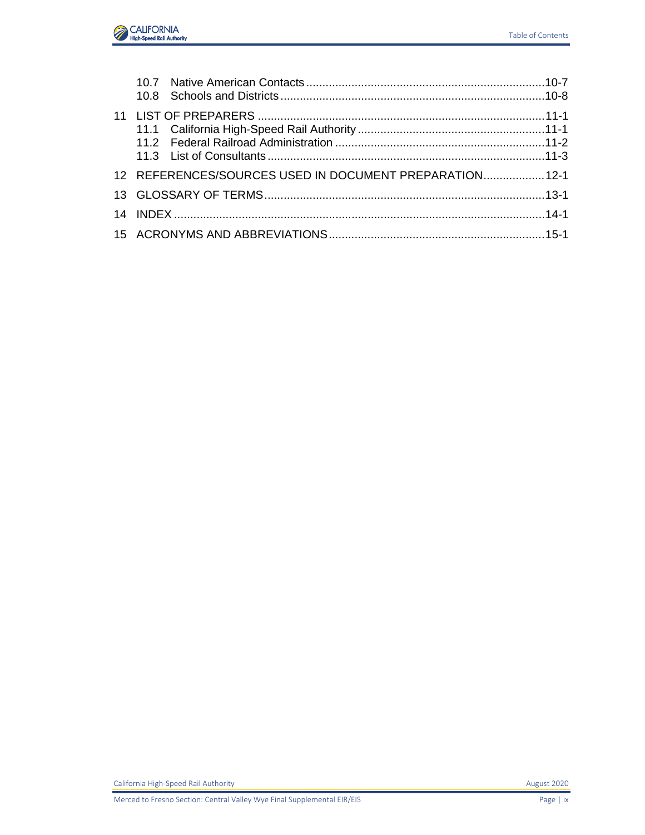

| 12 REFERENCES/SOURCES USED IN DOCUMENT PREPARATION 12-1 |  |
|---------------------------------------------------------|--|
|                                                         |  |
|                                                         |  |
|                                                         |  |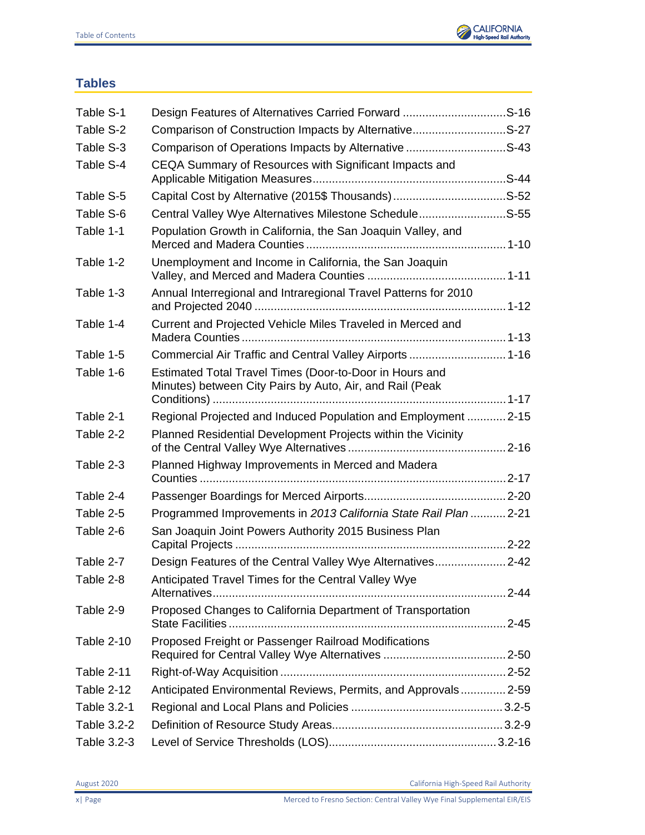

## <span id="page-9-0"></span>**Tables**

| Table S-1         |                                                                                                                     |  |
|-------------------|---------------------------------------------------------------------------------------------------------------------|--|
| Table S-2         | Comparison of Construction Impacts by AlternativeS-27                                                               |  |
| Table S-3         | Comparison of Operations Impacts by Alternative S-43                                                                |  |
| Table S-4         | CEQA Summary of Resources with Significant Impacts and                                                              |  |
| Table S-5         |                                                                                                                     |  |
| Table S-6         | Central Valley Wye Alternatives Milestone ScheduleS-55                                                              |  |
| Table 1-1         | Population Growth in California, the San Joaquin Valley, and                                                        |  |
| Table 1-2         | Unemployment and Income in California, the San Joaquin                                                              |  |
| Table 1-3         | Annual Interregional and Intraregional Travel Patterns for 2010                                                     |  |
| Table 1-4         | Current and Projected Vehicle Miles Traveled in Merced and                                                          |  |
| Table 1-5         | Commercial Air Traffic and Central Valley Airports  1-16                                                            |  |
| Table 1-6         | Estimated Total Travel Times (Door-to-Door in Hours and<br>Minutes) between City Pairs by Auto, Air, and Rail (Peak |  |
| Table 2-1         | Regional Projected and Induced Population and Employment  2-15                                                      |  |
| Table 2-2         | Planned Residential Development Projects within the Vicinity                                                        |  |
| Table 2-3         | Planned Highway Improvements in Merced and Madera                                                                   |  |
| Table 2-4         |                                                                                                                     |  |
| Table 2-5         | Programmed Improvements in 2013 California State Rail Plan  2-21                                                    |  |
| Table 2-6         | San Joaquin Joint Powers Authority 2015 Business Plan                                                               |  |
| Table 2-7         | Design Features of the Central Valley Wye Alternatives2-42                                                          |  |
| Table 2-8         | Anticipated Travel Times for the Central Valley Wye                                                                 |  |
| Table 2-9         | Proposed Changes to California Department of Transportation                                                         |  |
| <b>Table 2-10</b> | Proposed Freight or Passenger Railroad Modifications                                                                |  |
| Table 2-11        |                                                                                                                     |  |
| Table 2-12        | Anticipated Environmental Reviews, Permits, and Approvals 2-59                                                      |  |
| Table 3.2-1       |                                                                                                                     |  |
| Table 3.2-2       |                                                                                                                     |  |
| Table 3.2-3       |                                                                                                                     |  |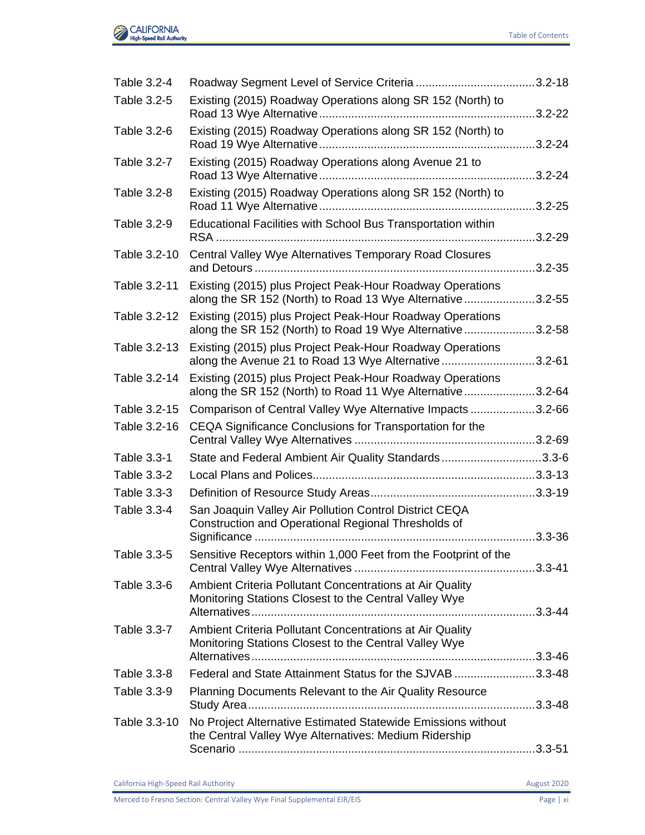

| Table 3.2-4  |                                                                                                                         |             |
|--------------|-------------------------------------------------------------------------------------------------------------------------|-------------|
| Table 3.2-5  | Existing (2015) Roadway Operations along SR 152 (North) to                                                              | $.3.2 - 22$ |
| Table 3.2-6  | Existing (2015) Roadway Operations along SR 152 (North) to                                                              |             |
| Table 3.2-7  | Existing (2015) Roadway Operations along Avenue 21 to                                                                   |             |
| Table 3.2-8  | Existing (2015) Roadway Operations along SR 152 (North) to                                                              |             |
| Table 3.2-9  | Educational Facilities with School Bus Transportation within                                                            | $.3.2 - 29$ |
| Table 3.2-10 | Central Valley Wye Alternatives Temporary Road Closures                                                                 |             |
| Table 3.2-11 | Existing (2015) plus Project Peak-Hour Roadway Operations<br>along the SR 152 (North) to Road 13 Wye Alternative3.2-55  |             |
| Table 3.2-12 | Existing (2015) plus Project Peak-Hour Roadway Operations<br>along the SR 152 (North) to Road 19 Wye Alternative3.2-58  |             |
| Table 3.2-13 | Existing (2015) plus Project Peak-Hour Roadway Operations<br>along the Avenue 21 to Road 13 Wye Alternative3.2-61       |             |
| Table 3.2-14 | Existing (2015) plus Project Peak-Hour Roadway Operations<br>along the SR 152 (North) to Road 11 Wye Alternative 3.2-64 |             |
| Table 3.2-15 | Comparison of Central Valley Wye Alternative Impacts 3.2-66                                                             |             |
| Table 3.2-16 | CEQA Significance Conclusions for Transportation for the                                                                |             |
| Table 3.3-1  | State and Federal Ambient Air Quality Standards3.3-6                                                                    |             |
| Table 3.3-2  |                                                                                                                         |             |
| Table 3.3-3  |                                                                                                                         |             |
| Table 3.3-4  | San Joaquin Valley Air Pollution Control District CEQA<br>Construction and Operational Regional Thresholds of           |             |
| Table 3.3-5  | Sensitive Receptors within 1,000 Feet from the Footprint of the                                                         |             |
| Table 3.3-6  | Ambient Criteria Pollutant Concentrations at Air Quality<br>Monitoring Stations Closest to the Central Valley Wye       |             |
| Table 3.3-7  | Ambient Criteria Pollutant Concentrations at Air Quality<br>Monitoring Stations Closest to the Central Valley Wye       |             |
| Table 3.3-8  | Federal and State Attainment Status for the SJVAB 3.3-48                                                                |             |
| Table 3.3-9  | Planning Documents Relevant to the Air Quality Resource                                                                 |             |
| Table 3.3-10 | No Project Alternative Estimated Statewide Emissions without<br>the Central Valley Wye Alternatives: Medium Ridership   |             |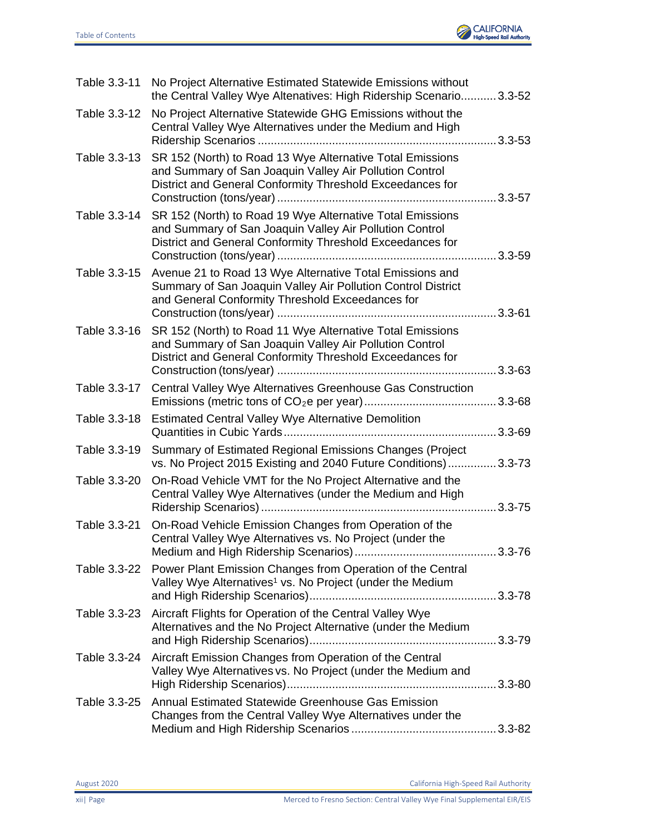

| Table 3.3-11 | No Project Alternative Estimated Statewide Emissions without<br>the Central Valley Wye Altenatives: High Ridership Scenario 3.3-52                                                |  |
|--------------|-----------------------------------------------------------------------------------------------------------------------------------------------------------------------------------|--|
| Table 3.3-12 | No Project Alternative Statewide GHG Emissions without the<br>Central Valley Wye Alternatives under the Medium and High                                                           |  |
| Table 3.3-13 | SR 152 (North) to Road 13 Wye Alternative Total Emissions<br>and Summary of San Joaquin Valley Air Pollution Control<br>District and General Conformity Threshold Exceedances for |  |
| Table 3.3-14 | SR 152 (North) to Road 19 Wye Alternative Total Emissions<br>and Summary of San Joaquin Valley Air Pollution Control<br>District and General Conformity Threshold Exceedances for |  |
| Table 3.3-15 | Avenue 21 to Road 13 Wye Alternative Total Emissions and<br>Summary of San Joaquin Valley Air Pollution Control District<br>and General Conformity Threshold Exceedances for      |  |
| Table 3.3-16 | SR 152 (North) to Road 11 Wye Alternative Total Emissions<br>and Summary of San Joaquin Valley Air Pollution Control<br>District and General Conformity Threshold Exceedances for |  |
| Table 3.3-17 | Central Valley Wye Alternatives Greenhouse Gas Construction                                                                                                                       |  |
| Table 3.3-18 | <b>Estimated Central Valley Wye Alternative Demolition</b>                                                                                                                        |  |
| Table 3.3-19 | Summary of Estimated Regional Emissions Changes (Project<br>vs. No Project 2015 Existing and 2040 Future Conditions) 3.3-73                                                       |  |
| Table 3.3-20 | On-Road Vehicle VMT for the No Project Alternative and the<br>Central Valley Wye Alternatives (under the Medium and High                                                          |  |
| Table 3.3-21 | On-Road Vehicle Emission Changes from Operation of the<br>Central Valley Wye Alternatives vs. No Project (under the                                                               |  |
| Table 3.3-22 | Power Plant Emission Changes from Operation of the Central<br>Valley Wye Alternatives <sup>1</sup> vs. No Project (under the Medium                                               |  |
| Table 3.3-23 | Aircraft Flights for Operation of the Central Valley Wye<br>Alternatives and the No Project Alternative (under the Medium                                                         |  |
| Table 3.3-24 | Aircraft Emission Changes from Operation of the Central<br>Valley Wye Alternatives vs. No Project (under the Medium and                                                           |  |
| Table 3.3-25 | Annual Estimated Statewide Greenhouse Gas Emission<br>Changes from the Central Valley Wye Alternatives under the                                                                  |  |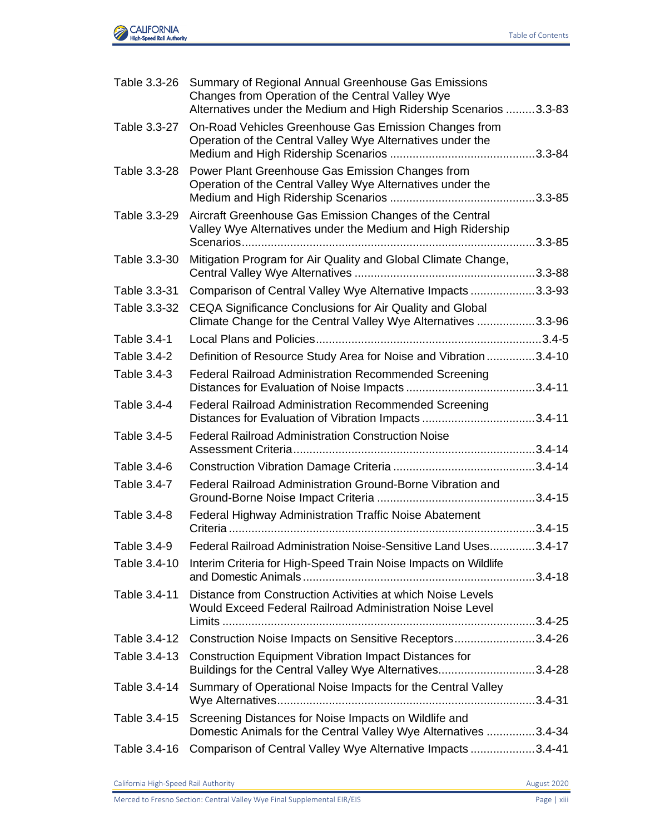

|              | Table 3.3-26 Summary of Regional Annual Greenhouse Gas Emissions<br>Changes from Operation of the Central Valley Wye<br>Alternatives under the Medium and High Ridership Scenarios 3.3-83 |  |
|--------------|-------------------------------------------------------------------------------------------------------------------------------------------------------------------------------------------|--|
| Table 3.3-27 | On-Road Vehicles Greenhouse Gas Emission Changes from<br>Operation of the Central Valley Wye Alternatives under the                                                                       |  |
| Table 3.3-28 | Power Plant Greenhouse Gas Emission Changes from<br>Operation of the Central Valley Wye Alternatives under the                                                                            |  |
| Table 3.3-29 | Aircraft Greenhouse Gas Emission Changes of the Central<br>Valley Wye Alternatives under the Medium and High Ridership                                                                    |  |
| Table 3.3-30 | Mitigation Program for Air Quality and Global Climate Change,                                                                                                                             |  |
| Table 3.3-31 | Comparison of Central Valley Wye Alternative Impacts3.3-93                                                                                                                                |  |
| Table 3.3-32 | CEQA Significance Conclusions for Air Quality and Global<br>Climate Change for the Central Valley Wye Alternatives 3.3-96                                                                 |  |
| Table 3.4-1  |                                                                                                                                                                                           |  |
| Table 3.4-2  | Definition of Resource Study Area for Noise and Vibration3.4-10                                                                                                                           |  |
| Table 3.4-3  | <b>Federal Railroad Administration Recommended Screening</b>                                                                                                                              |  |
| Table 3.4-4  | <b>Federal Railroad Administration Recommended Screening</b><br>Distances for Evaluation of Vibration Impacts 3.4-11                                                                      |  |
| Table 3.4-5  | <b>Federal Railroad Administration Construction Noise</b>                                                                                                                                 |  |
| Table 3.4-6  |                                                                                                                                                                                           |  |
| Table 3.4-7  | Federal Railroad Administration Ground-Borne Vibration and                                                                                                                                |  |
| Table 3.4-8  | Federal Highway Administration Traffic Noise Abatement                                                                                                                                    |  |
| Table 3.4-9  | Federal Railroad Administration Noise-Sensitive Land Uses3.4-17                                                                                                                           |  |
|              | Table 3.4-10 Interim Criteria for High-Speed Train Noise Impacts on Wildlife                                                                                                              |  |
| Table 3.4-11 | Distance from Construction Activities at which Noise Levels<br>Would Exceed Federal Railroad Administration Noise Level                                                                   |  |
| Table 3.4-12 | Construction Noise Impacts on Sensitive Receptors3.4-26                                                                                                                                   |  |
| Table 3.4-13 | <b>Construction Equipment Vibration Impact Distances for</b><br>Buildings for the Central Valley Wye Alternatives3.4-28                                                                   |  |
| Table 3.4-14 | Summary of Operational Noise Impacts for the Central Valley                                                                                                                               |  |
| Table 3.4-15 | Screening Distances for Noise Impacts on Wildlife and<br>Domestic Animals for the Central Valley Wye Alternatives 3.4-34                                                                  |  |
| Table 3.4-16 | Comparison of Central Valley Wye Alternative Impacts 3.4-41                                                                                                                               |  |
|              |                                                                                                                                                                                           |  |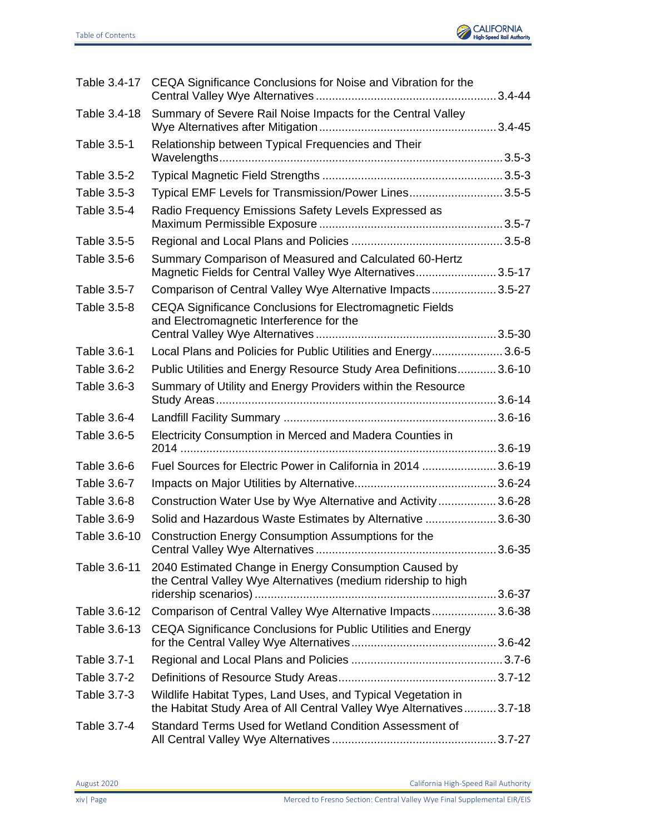

| Table 3.4-17 | CEQA Significance Conclusions for Noise and Vibration for the                                                                       |  |
|--------------|-------------------------------------------------------------------------------------------------------------------------------------|--|
| Table 3.4-18 | Summary of Severe Rail Noise Impacts for the Central Valley                                                                         |  |
| Table 3.5-1  | Relationship between Typical Frequencies and Their                                                                                  |  |
| Table 3.5-2  |                                                                                                                                     |  |
| Table 3.5-3  | Typical EMF Levels for Transmission/Power Lines3.5-5                                                                                |  |
| Table 3.5-4  | Radio Frequency Emissions Safety Levels Expressed as                                                                                |  |
| Table 3.5-5  |                                                                                                                                     |  |
| Table 3.5-6  | Summary Comparison of Measured and Calculated 60-Hertz<br>Magnetic Fields for Central Valley Wye Alternatives3.5-17                 |  |
| Table 3.5-7  | Comparison of Central Valley Wye Alternative Impacts 3.5-27                                                                         |  |
| Table 3.5-8  | CEQA Significance Conclusions for Electromagnetic Fields<br>and Electromagnetic Interference for the                                |  |
|              |                                                                                                                                     |  |
| Table 3.6-1  | Local Plans and Policies for Public Utilities and Energy3.6-5                                                                       |  |
| Table 3.6-2  | Public Utilities and Energy Resource Study Area Definitions 3.6-10                                                                  |  |
| Table 3.6-3  | Summary of Utility and Energy Providers within the Resource                                                                         |  |
| Table 3.6-4  |                                                                                                                                     |  |
| Table 3.6-5  | Electricity Consumption in Merced and Madera Counties in                                                                            |  |
| Table 3.6-6  | Fuel Sources for Electric Power in California in 2014  3.6-19                                                                       |  |
| Table 3.6-7  |                                                                                                                                     |  |
| Table 3.6-8  | Construction Water Use by Wye Alternative and Activity3.6-28                                                                        |  |
| Table 3.6-9  | Solid and Hazardous Waste Estimates by Alternative  3.6-30                                                                          |  |
| Table 3.6-10 | Construction Energy Consumption Assumptions for the                                                                                 |  |
| Table 3.6-11 | 2040 Estimated Change in Energy Consumption Caused by<br>the Central Valley Wye Alternatives (medium ridership to high              |  |
| Table 3.6-12 | Comparison of Central Valley Wye Alternative Impacts 3.6-38                                                                         |  |
| Table 3.6-13 | CEQA Significance Conclusions for Public Utilities and Energy                                                                       |  |
|              |                                                                                                                                     |  |
| Table 3.7-1  |                                                                                                                                     |  |
| Table 3.7-2  |                                                                                                                                     |  |
| Table 3.7-3  | Wildlife Habitat Types, Land Uses, and Typical Vegetation in<br>the Habitat Study Area of All Central Valley Wye Alternatives3.7-18 |  |
| Table 3.7-4  | Standard Terms Used for Wetland Condition Assessment of                                                                             |  |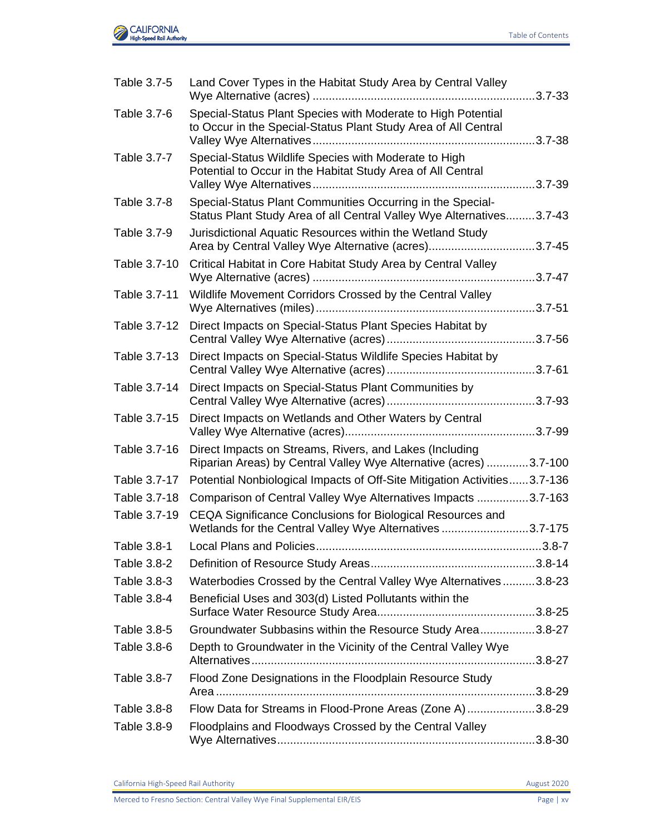

| Table 3.7-5  | Land Cover Types in the Habitat Study Area by Central Valley                                                                       |  |
|--------------|------------------------------------------------------------------------------------------------------------------------------------|--|
| Table 3.7-6  | Special-Status Plant Species with Moderate to High Potential<br>to Occur in the Special-Status Plant Study Area of All Central     |  |
| Table 3.7-7  | Special-Status Wildlife Species with Moderate to High<br>Potential to Occur in the Habitat Study Area of All Central               |  |
| Table 3.7-8  | Special-Status Plant Communities Occurring in the Special-<br>Status Plant Study Area of all Central Valley Wye Alternatives3.7-43 |  |
| Table 3.7-9  | Jurisdictional Aquatic Resources within the Wetland Study<br>Area by Central Valley Wye Alternative (acres)3.7-45                  |  |
| Table 3.7-10 | Critical Habitat in Core Habitat Study Area by Central Valley                                                                      |  |
| Table 3.7-11 | Wildlife Movement Corridors Crossed by the Central Valley                                                                          |  |
| Table 3.7-12 | Direct Impacts on Special-Status Plant Species Habitat by                                                                          |  |
| Table 3.7-13 | Direct Impacts on Special-Status Wildlife Species Habitat by                                                                       |  |
| Table 3.7-14 | Direct Impacts on Special-Status Plant Communities by                                                                              |  |
| Table 3.7-15 | Direct Impacts on Wetlands and Other Waters by Central                                                                             |  |
| Table 3.7-16 | Direct Impacts on Streams, Rivers, and Lakes (Including<br>Riparian Areas) by Central Valley Wye Alternative (acres) 3.7-100       |  |
| Table 3.7-17 | Potential Nonbiological Impacts of Off-Site Mitigation Activities3.7-136                                                           |  |
| Table 3.7-18 | Comparison of Central Valley Wye Alternatives Impacts 3.7-163                                                                      |  |
| Table 3.7-19 | CEQA Significance Conclusions for Biological Resources and<br>Wetlands for the Central Valley Wye Alternatives 3.7-175             |  |
| Table 3.8-1  |                                                                                                                                    |  |
| Table 3.8-2  |                                                                                                                                    |  |
| Table 3.8-3  | Waterbodies Crossed by the Central Valley Wye Alternatives 3.8-23                                                                  |  |
| Table 3.8-4  | Beneficial Uses and 303(d) Listed Pollutants within the                                                                            |  |
| Table 3.8-5  | Groundwater Subbasins within the Resource Study Area3.8-27                                                                         |  |
| Table 3.8-6  | Depth to Groundwater in the Vicinity of the Central Valley Wye                                                                     |  |
| Table 3.8-7  | Flood Zone Designations in the Floodplain Resource Study                                                                           |  |
| Table 3.8-8  | Flow Data for Streams in Flood-Prone Areas (Zone A) 3.8-29                                                                         |  |
| Table 3.8-9  | Floodplains and Floodways Crossed by the Central Valley                                                                            |  |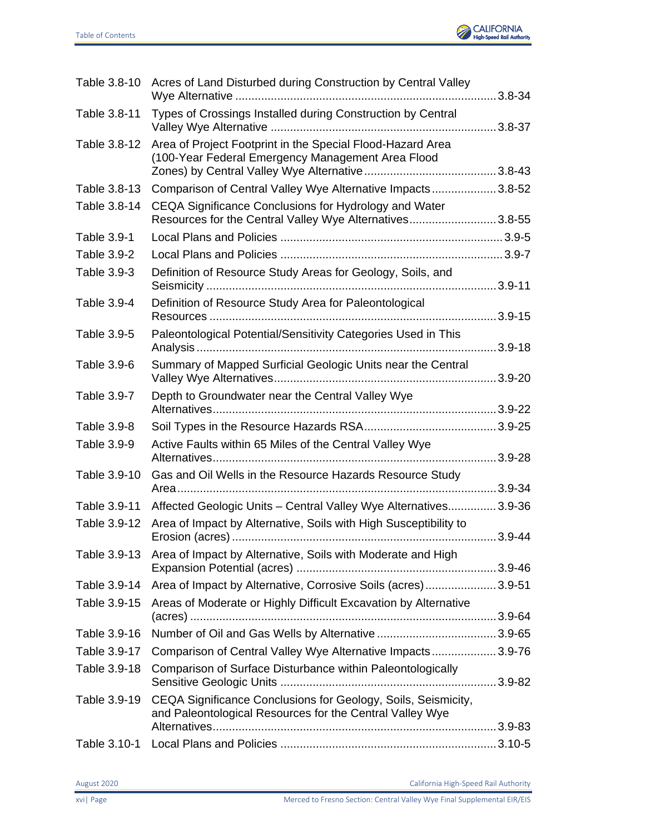

| Table 3.8-10       | Acres of Land Disturbed during Construction by Central Valley                                                             |  |
|--------------------|---------------------------------------------------------------------------------------------------------------------------|--|
| Table 3.8-11       | Types of Crossings Installed during Construction by Central                                                               |  |
| Table 3.8-12       | Area of Project Footprint in the Special Flood-Hazard Area<br>(100-Year Federal Emergency Management Area Flood           |  |
| Table 3.8-13       | Comparison of Central Valley Wye Alternative Impacts 3.8-52                                                               |  |
| Table 3.8-14       | CEQA Significance Conclusions for Hydrology and Water<br>Resources for the Central Valley Wye Alternatives3.8-55          |  |
| Table 3.9-1        |                                                                                                                           |  |
| <b>Table 3.9-2</b> |                                                                                                                           |  |
| Table 3.9-3        | Definition of Resource Study Areas for Geology, Soils, and                                                                |  |
| Table 3.9-4        | Definition of Resource Study Area for Paleontological                                                                     |  |
| Table 3.9-5        | Paleontological Potential/Sensitivity Categories Used in This                                                             |  |
| Table 3.9-6        | Summary of Mapped Surficial Geologic Units near the Central                                                               |  |
| Table 3.9-7        | Depth to Groundwater near the Central Valley Wye                                                                          |  |
| Table 3.9-8        |                                                                                                                           |  |
| Table 3.9-9        | Active Faults within 65 Miles of the Central Valley Wye                                                                   |  |
| Table 3.9-10       | Gas and Oil Wells in the Resource Hazards Resource Study                                                                  |  |
| Table 3.9-11       | Affected Geologic Units - Central Valley Wye Alternatives 3.9-36                                                          |  |
| Table 3.9-12       | Area of Impact by Alternative, Soils with High Susceptibility to                                                          |  |
| Table 3.9-13       | Area of Impact by Alternative, Soils with Moderate and High                                                               |  |
| Table 3.9-14       | Area of Impact by Alternative, Corrosive Soils (acres)3.9-51                                                              |  |
| Table 3.9-15       | Areas of Moderate or Highly Difficult Excavation by Alternative                                                           |  |
| Table 3.9-16       |                                                                                                                           |  |
| Table 3.9-17       | Comparison of Central Valley Wye Alternative Impacts 3.9-76                                                               |  |
| Table 3.9-18       | Comparison of Surface Disturbance within Paleontologically                                                                |  |
|                    |                                                                                                                           |  |
| Table 3.9-19       | CEQA Significance Conclusions for Geology, Soils, Seismicity,<br>and Paleontological Resources for the Central Valley Wye |  |
|                    |                                                                                                                           |  |
| Table 3.10-1       |                                                                                                                           |  |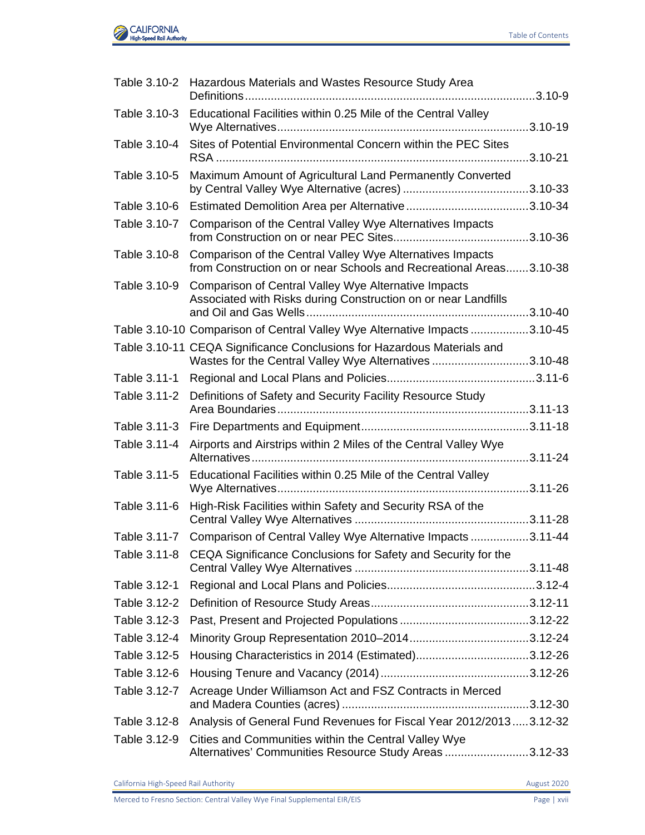

|              | Table 3.10-2 Hazardous Materials and Wastes Resource Study Area                                                                   |  |
|--------------|-----------------------------------------------------------------------------------------------------------------------------------|--|
| Table 3.10-3 | Educational Facilities within 0.25 Mile of the Central Valley                                                                     |  |
| Table 3.10-4 | Sites of Potential Environmental Concern within the PEC Sites                                                                     |  |
| Table 3.10-5 | Maximum Amount of Agricultural Land Permanently Converted                                                                         |  |
| Table 3.10-6 |                                                                                                                                   |  |
| Table 3.10-7 | Comparison of the Central Valley Wye Alternatives Impacts                                                                         |  |
| Table 3.10-8 | Comparison of the Central Valley Wye Alternatives Impacts<br>from Construction on or near Schools and Recreational Areas3.10-38   |  |
| Table 3.10-9 | Comparison of Central Valley Wye Alternative Impacts<br>Associated with Risks during Construction on or near Landfills            |  |
|              | Table 3.10-10 Comparison of Central Valley Wye Alternative Impacts 3.10-45                                                        |  |
|              | Table 3.10-11 CEQA Significance Conclusions for Hazardous Materials and<br>Wastes for the Central Valley Wye Alternatives 3.10-48 |  |
| Table 3.11-1 |                                                                                                                                   |  |
| Table 3.11-2 | Definitions of Safety and Security Facility Resource Study                                                                        |  |
| Table 3.11-3 |                                                                                                                                   |  |
| Table 3.11-4 | Airports and Airstrips within 2 Miles of the Central Valley Wye                                                                   |  |
| Table 3.11-5 | Educational Facilities within 0.25 Mile of the Central Valley                                                                     |  |
| Table 3.11-6 | High-Risk Facilities within Safety and Security RSA of the                                                                        |  |
| Table 3.11-7 | Comparison of Central Valley Wye Alternative Impacts 3.11-44                                                                      |  |
| Table 3.11-8 | CEQA Significance Conclusions for Safety and Security for the                                                                     |  |
| Table 3.12-1 |                                                                                                                                   |  |
| Table 3.12-2 |                                                                                                                                   |  |
| Table 3.12-3 |                                                                                                                                   |  |
| Table 3.12-4 |                                                                                                                                   |  |
| Table 3.12-5 | Housing Characteristics in 2014 (Estimated)3.12-26                                                                                |  |
| Table 3.12-6 |                                                                                                                                   |  |
| Table 3.12-7 | Acreage Under Williamson Act and FSZ Contracts in Merced                                                                          |  |
| Table 3.12-8 | Analysis of General Fund Revenues for Fiscal Year 2012/20133.12-32                                                                |  |
| Table 3.12-9 | Cities and Communities within the Central Valley Wye<br>Alternatives' Communities Resource Study Areas 3.12-33                    |  |
|              |                                                                                                                                   |  |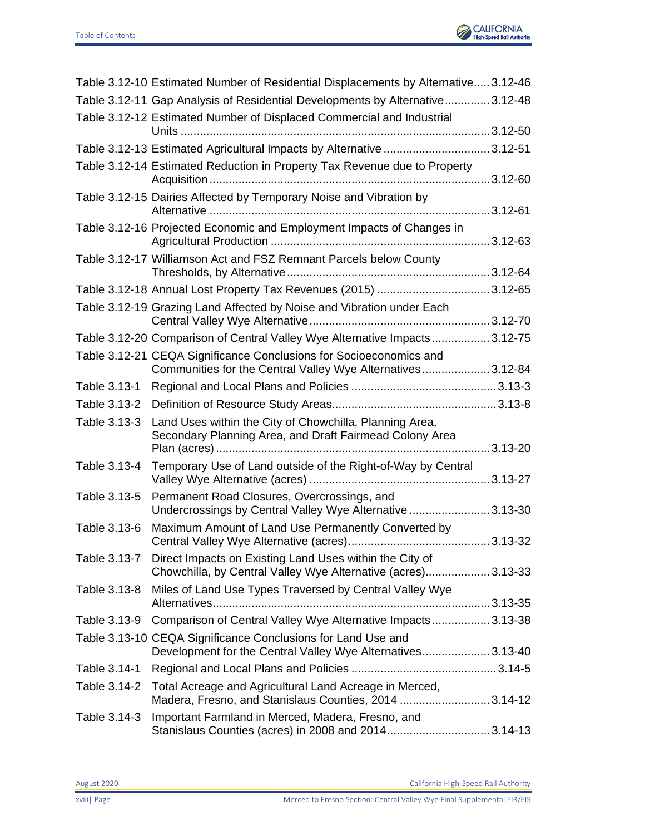

|              | Table 3.12-10 Estimated Number of Residential Displacements by Alternative 3.12-46                                                |  |
|--------------|-----------------------------------------------------------------------------------------------------------------------------------|--|
|              | Table 3.12-11 Gap Analysis of Residential Developments by Alternative3.12-48                                                      |  |
|              | Table 3.12-12 Estimated Number of Displaced Commercial and Industrial                                                             |  |
|              |                                                                                                                                   |  |
|              | Table 3.12-13 Estimated Agricultural Impacts by Alternative 3.12-51                                                               |  |
|              | Table 3.12-14 Estimated Reduction in Property Tax Revenue due to Property                                                         |  |
|              | Table 3.12-15 Dairies Affected by Temporary Noise and Vibration by                                                                |  |
|              | Table 3.12-16 Projected Economic and Employment Impacts of Changes in                                                             |  |
|              | Table 3.12-17 Williamson Act and FSZ Remnant Parcels below County                                                                 |  |
|              | Table 3.12-18 Annual Lost Property Tax Revenues (2015) 3.12-65                                                                    |  |
|              | Table 3.12-19 Grazing Land Affected by Noise and Vibration under Each                                                             |  |
|              | Table 3.12-20 Comparison of Central Valley Wye Alternative Impacts3.12-75                                                         |  |
|              | Table 3.12-21 CEQA Significance Conclusions for Socioeconomics and<br>Communities for the Central Valley Wye Alternatives 3.12-84 |  |
| Table 3.13-1 |                                                                                                                                   |  |
| Table 3.13-2 |                                                                                                                                   |  |
| Table 3.13-3 | Land Uses within the City of Chowchilla, Planning Area,<br>Secondary Planning Area, and Draft Fairmead Colony Area                |  |
| Table 3.13-4 | Temporary Use of Land outside of the Right-of-Way by Central                                                                      |  |
| Table 3.13-5 | Permanent Road Closures, Overcrossings, and<br>Undercrossings by Central Valley Wye Alternative  3.13-30                          |  |
| Table 3.13-6 | Maximum Amount of Land Use Permanently Converted by                                                                               |  |
| Table 3.13-7 | Direct Impacts on Existing Land Uses within the City of<br>Chowchilla, by Central Valley Wye Alternative (acres) 3.13-33          |  |
| Table 3.13-8 | Miles of Land Use Types Traversed by Central Valley Wye                                                                           |  |
| Table 3.13-9 | Comparison of Central Valley Wye Alternative Impacts 3.13-38                                                                      |  |
|              | Table 3.13-10 CEQA Significance Conclusions for Land Use and<br>Development for the Central Valley Wye Alternatives3.13-40        |  |
| Table 3.14-1 |                                                                                                                                   |  |
| Table 3.14-2 | Total Acreage and Agricultural Land Acreage in Merced,<br>Madera, Fresno, and Stanislaus Counties, 2014 3.14-12                   |  |
| Table 3.14-3 | Important Farmland in Merced, Madera, Fresno, and<br>Stanislaus Counties (acres) in 2008 and 20143.14-13                          |  |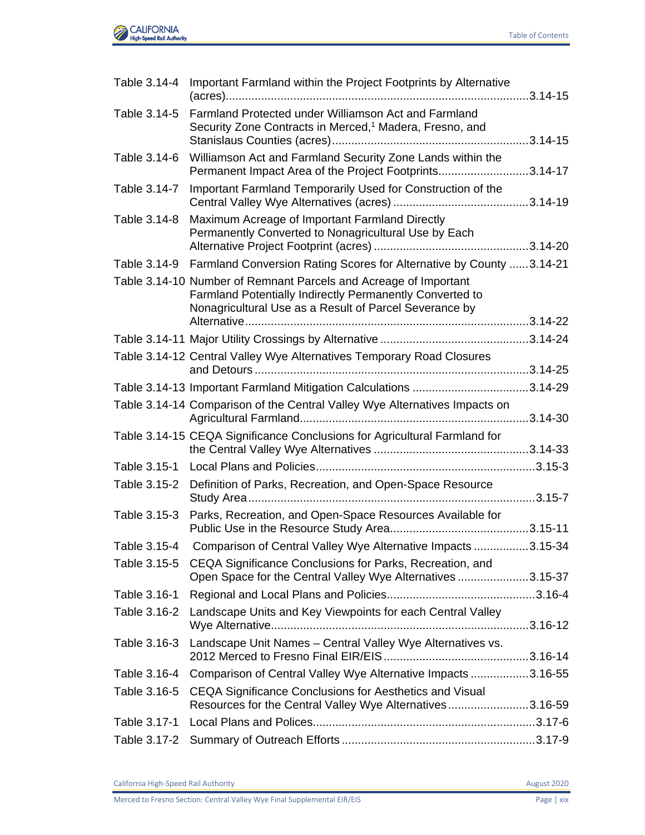

| Farmland Protected under Williamson Act and Farmland<br>Security Zone Contracts in Merced, <sup>1</sup> Madera, Fresno, and                                                            |                                                                                                                                                                                                                                                                                                                                                                                                                                                                                                                                     |
|----------------------------------------------------------------------------------------------------------------------------------------------------------------------------------------|-------------------------------------------------------------------------------------------------------------------------------------------------------------------------------------------------------------------------------------------------------------------------------------------------------------------------------------------------------------------------------------------------------------------------------------------------------------------------------------------------------------------------------------|
| Williamson Act and Farmland Security Zone Lands within the                                                                                                                             |                                                                                                                                                                                                                                                                                                                                                                                                                                                                                                                                     |
| Important Farmland Temporarily Used for Construction of the                                                                                                                            |                                                                                                                                                                                                                                                                                                                                                                                                                                                                                                                                     |
| Maximum Acreage of Important Farmland Directly<br>Permanently Converted to Nonagricultural Use by Each                                                                                 |                                                                                                                                                                                                                                                                                                                                                                                                                                                                                                                                     |
| Table 3.14-9                                                                                                                                                                           |                                                                                                                                                                                                                                                                                                                                                                                                                                                                                                                                     |
| Table 3.14-10 Number of Remnant Parcels and Acreage of Important<br>Farmland Potentially Indirectly Permanently Converted to<br>Nonagricultural Use as a Result of Parcel Severance by |                                                                                                                                                                                                                                                                                                                                                                                                                                                                                                                                     |
|                                                                                                                                                                                        |                                                                                                                                                                                                                                                                                                                                                                                                                                                                                                                                     |
|                                                                                                                                                                                        |                                                                                                                                                                                                                                                                                                                                                                                                                                                                                                                                     |
|                                                                                                                                                                                        |                                                                                                                                                                                                                                                                                                                                                                                                                                                                                                                                     |
|                                                                                                                                                                                        |                                                                                                                                                                                                                                                                                                                                                                                                                                                                                                                                     |
| Table 3.14-14 Comparison of the Central Valley Wye Alternatives Impacts on                                                                                                             |                                                                                                                                                                                                                                                                                                                                                                                                                                                                                                                                     |
| Table 3.14-15 CEQA Significance Conclusions for Agricultural Farmland for                                                                                                              |                                                                                                                                                                                                                                                                                                                                                                                                                                                                                                                                     |
|                                                                                                                                                                                        |                                                                                                                                                                                                                                                                                                                                                                                                                                                                                                                                     |
| Table 3.15-2 Definition of Parks, Recreation, and Open-Space Resource                                                                                                                  |                                                                                                                                                                                                                                                                                                                                                                                                                                                                                                                                     |
| Parks, Recreation, and Open-Space Resources Available for                                                                                                                              |                                                                                                                                                                                                                                                                                                                                                                                                                                                                                                                                     |
|                                                                                                                                                                                        |                                                                                                                                                                                                                                                                                                                                                                                                                                                                                                                                     |
| Table 3.15-5 CEQA Significance Conclusions for Parks, Recreation, and                                                                                                                  |                                                                                                                                                                                                                                                                                                                                                                                                                                                                                                                                     |
|                                                                                                                                                                                        |                                                                                                                                                                                                                                                                                                                                                                                                                                                                                                                                     |
| Landscape Units and Key Viewpoints for each Central Valley                                                                                                                             |                                                                                                                                                                                                                                                                                                                                                                                                                                                                                                                                     |
| Landscape Unit Names - Central Valley Wye Alternatives vs.                                                                                                                             |                                                                                                                                                                                                                                                                                                                                                                                                                                                                                                                                     |
|                                                                                                                                                                                        |                                                                                                                                                                                                                                                                                                                                                                                                                                                                                                                                     |
| CEQA Significance Conclusions for Aesthetics and Visual                                                                                                                                |                                                                                                                                                                                                                                                                                                                                                                                                                                                                                                                                     |
|                                                                                                                                                                                        |                                                                                                                                                                                                                                                                                                                                                                                                                                                                                                                                     |
|                                                                                                                                                                                        |                                                                                                                                                                                                                                                                                                                                                                                                                                                                                                                                     |
|                                                                                                                                                                                        | Important Farmland within the Project Footprints by Alternative<br>Permanent Impact Area of the Project Footprints3.14-17<br>Farmland Conversion Rating Scores for Alternative by County 3.14-21<br>Table 3.14-12 Central Valley Wye Alternatives Temporary Road Closures<br>Comparison of Central Valley Wye Alternative Impacts 3.15-34<br>Open Space for the Central Valley Wye Alternatives 3.15-37<br>Comparison of Central Valley Wye Alternative Impacts 3.16-55<br>Resources for the Central Valley Wye Alternatives3.16-59 |

California High-Speed Rail Authority **August 2020**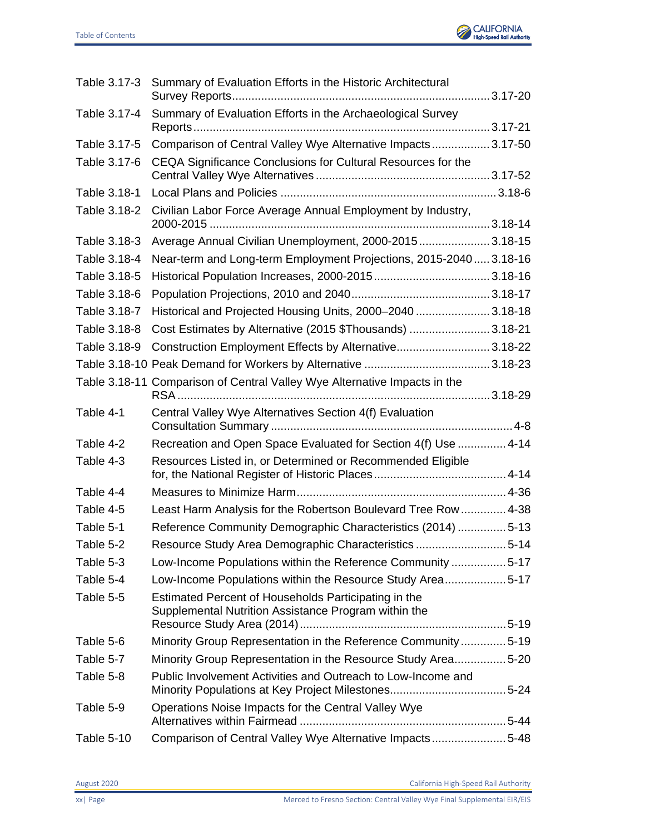

|              | Table 3.17-3 Summary of Evaluation Efforts in the Historic Architectural                                     |
|--------------|--------------------------------------------------------------------------------------------------------------|
| Table 3.17-4 | Summary of Evaluation Efforts in the Archaeological Survey                                                   |
| Table 3.17-5 | Comparison of Central Valley Wye Alternative Impacts 3.17-50                                                 |
| Table 3.17-6 | CEQA Significance Conclusions for Cultural Resources for the                                                 |
| Table 3.18-1 |                                                                                                              |
| Table 3.18-2 | Civilian Labor Force Average Annual Employment by Industry,                                                  |
| Table 3.18-3 | Average Annual Civilian Unemployment, 2000-2015 3.18-15                                                      |
| Table 3.18-4 | Near-term and Long-term Employment Projections, 2015-2040 3.18-16                                            |
| Table 3.18-5 |                                                                                                              |
| Table 3.18-6 |                                                                                                              |
| Table 3.18-7 | Historical and Projected Housing Units, 2000-2040  3.18-18                                                   |
| Table 3.18-8 | Cost Estimates by Alternative (2015 \$Thousands)  3.18-21                                                    |
| Table 3.18-9 | Construction Employment Effects by Alternative3.18-22                                                        |
|              |                                                                                                              |
|              | Table 3.18-11 Comparison of Central Valley Wye Alternative Impacts in the                                    |
| Table 4-1    | Central Valley Wye Alternatives Section 4(f) Evaluation                                                      |
| Table 4-2    | Recreation and Open Space Evaluated for Section 4(f) Use  4-14                                               |
| Table 4-3    | Resources Listed in, or Determined or Recommended Eligible                                                   |
| Table 4-4    |                                                                                                              |
| Table 4-5    | Least Harm Analysis for the Robertson Boulevard Tree Row 4-38                                                |
| Table 5-1    | Reference Community Demographic Characteristics (2014) 5-13                                                  |
| Table 5-2    | Resource Study Area Demographic Characteristics 5-14                                                         |
| Table 5-3    | Low-Income Populations within the Reference Community 5-17                                                   |
| Table 5-4    | Low-Income Populations within the Resource Study Area5-17                                                    |
| Table 5-5    | Estimated Percent of Households Participating in the<br>Supplemental Nutrition Assistance Program within the |
| Table 5-6    | Minority Group Representation in the Reference Community5-19                                                 |
| Table 5-7    | Minority Group Representation in the Resource Study Area5-20                                                 |
| Table 5-8    | Public Involvement Activities and Outreach to Low-Income and                                                 |
| Table 5-9    | Operations Noise Impacts for the Central Valley Wye                                                          |
| Table 5-10   | Comparison of Central Valley Wye Alternative Impacts5-48                                                     |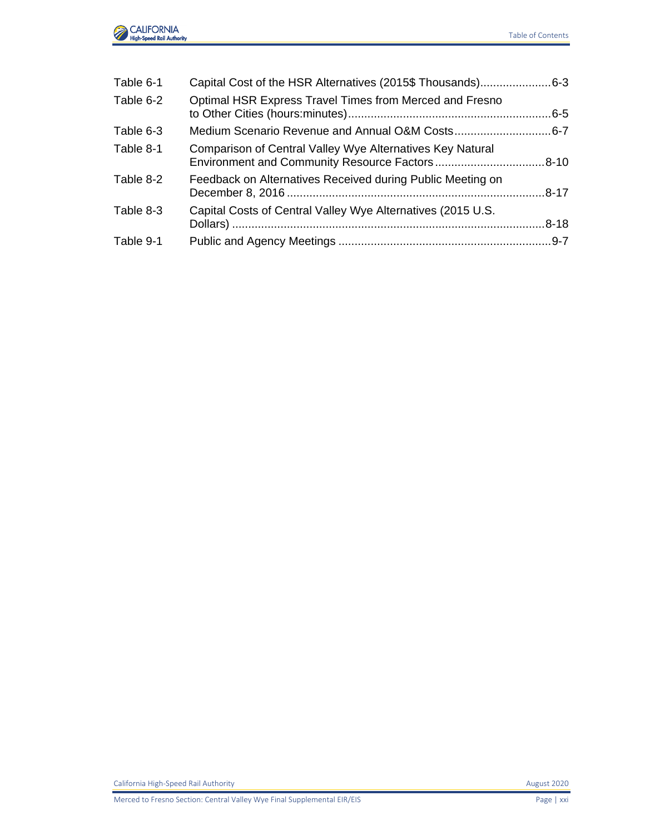

| Table 6-1 | Capital Cost of the HSR Alternatives (2015\$ Thousands)6-3  |  |
|-----------|-------------------------------------------------------------|--|
| Table 6-2 | Optimal HSR Express Travel Times from Merced and Fresno     |  |
| Table 6-3 |                                                             |  |
| Table 8-1 | Comparison of Central Valley Wye Alternatives Key Natural   |  |
| Table 8-2 | Feedback on Alternatives Received during Public Meeting on  |  |
| Table 8-3 | Capital Costs of Central Valley Wye Alternatives (2015 U.S. |  |
| Table 9-1 |                                                             |  |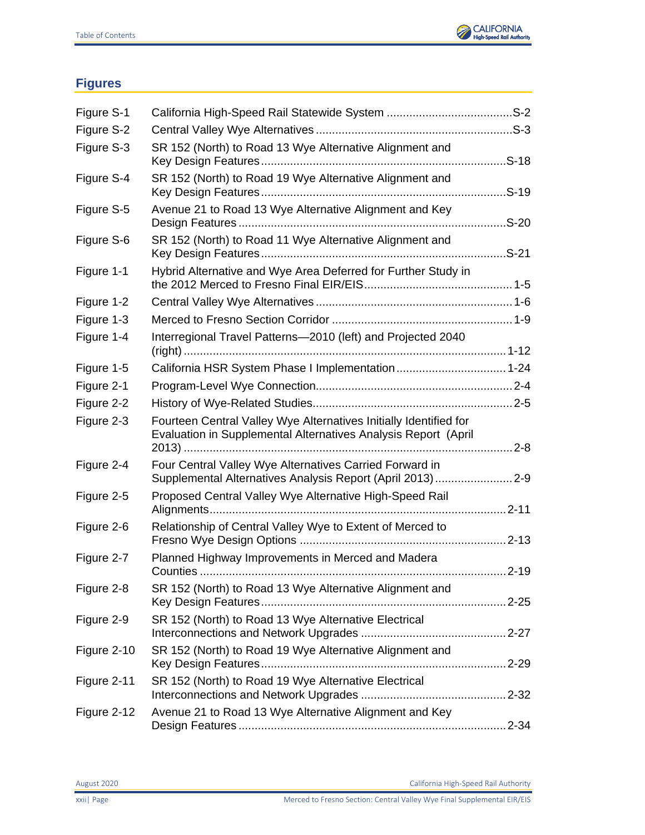

## <span id="page-21-0"></span>**Figures**

| Figure S-1  |                                                                                                                                     |          |
|-------------|-------------------------------------------------------------------------------------------------------------------------------------|----------|
| Figure S-2  |                                                                                                                                     |          |
| Figure S-3  | SR 152 (North) to Road 13 Wye Alternative Alignment and                                                                             | $. S-18$ |
| Figure S-4  | SR 152 (North) to Road 19 Wye Alternative Alignment and                                                                             |          |
| Figure S-5  | Avenue 21 to Road 13 Wye Alternative Alignment and Key                                                                              |          |
| Figure S-6  | SR 152 (North) to Road 11 Wye Alternative Alignment and                                                                             |          |
| Figure 1-1  | Hybrid Alternative and Wye Area Deferred for Further Study in                                                                       |          |
| Figure 1-2  |                                                                                                                                     |          |
| Figure 1-3  |                                                                                                                                     |          |
| Figure 1-4  | Interregional Travel Patterns-2010 (left) and Projected 2040                                                                        |          |
| Figure 1-5  |                                                                                                                                     |          |
| Figure 2-1  |                                                                                                                                     |          |
| Figure 2-2  |                                                                                                                                     |          |
| Figure 2-3  | Fourteen Central Valley Wye Alternatives Initially Identified for<br>Evaluation in Supplemental Alternatives Analysis Report (April | $2 - 8$  |
| Figure 2-4  | Four Central Valley Wye Alternatives Carried Forward in<br>Supplemental Alternatives Analysis Report (April 2013)2-9                |          |
| Figure 2-5  | Proposed Central Valley Wye Alternative High-Speed Rail                                                                             |          |
| Figure 2-6  | Relationship of Central Valley Wye to Extent of Merced to                                                                           |          |
| Figure 2-7  | Planned Highway Improvements in Merced and Madera                                                                                   | $2 - 19$ |
| Figure 2-8  | SR 152 (North) to Road 13 Wye Alternative Alignment and                                                                             |          |
| Figure 2-9  | SR 152 (North) to Road 13 Wye Alternative Electrical                                                                                |          |
| Figure 2-10 | SR 152 (North) to Road 19 Wye Alternative Alignment and                                                                             |          |
| Figure 2-11 | SR 152 (North) to Road 19 Wye Alternative Electrical                                                                                |          |
| Figure 2-12 | Avenue 21 to Road 13 Wye Alternative Alignment and Key                                                                              |          |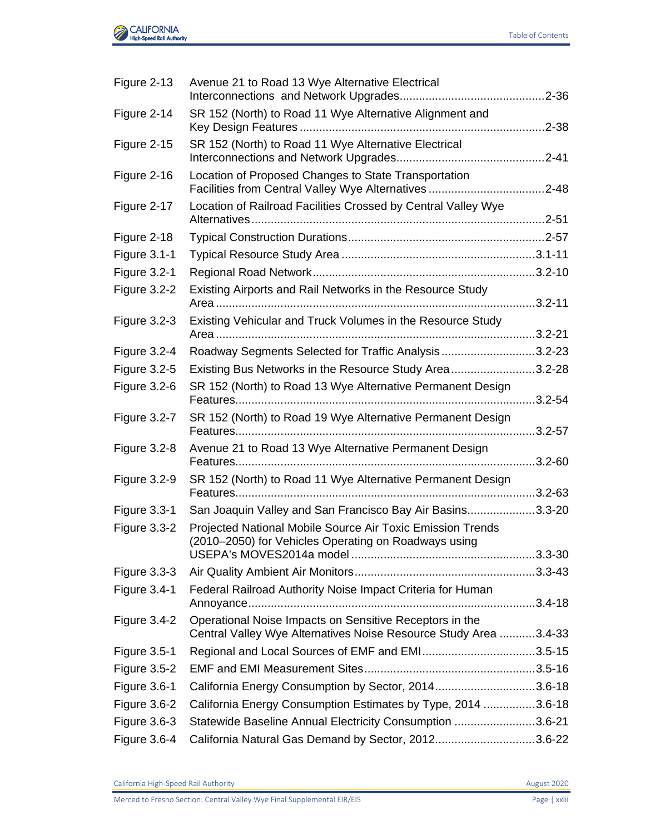

| Figure 2-13         | Avenue 21 to Road 13 Wye Alternative Electrical                                                                             |             |
|---------------------|-----------------------------------------------------------------------------------------------------------------------------|-------------|
| Figure 2-14         | SR 152 (North) to Road 11 Wye Alternative Alignment and                                                                     |             |
| Figure 2-15         | SR 152 (North) to Road 11 Wye Alternative Electrical                                                                        | $.2 - 41$   |
| Figure 2-16         | Location of Proposed Changes to State Transportation                                                                        |             |
| Figure 2-17         | Location of Railroad Facilities Crossed by Central Valley Wye                                                               |             |
| Figure 2-18         |                                                                                                                             |             |
| <b>Figure 3.1-1</b> |                                                                                                                             |             |
| <b>Figure 3.2-1</b> |                                                                                                                             |             |
| Figure 3.2-2        | Existing Airports and Rail Networks in the Resource Study                                                                   | $.3.2 - 11$ |
| <b>Figure 3.2-3</b> | Existing Vehicular and Truck Volumes in the Resource Study                                                                  | $.3.2 - 21$ |
| Figure 3.2-4        | Roadway Segments Selected for Traffic Analysis3.2-23                                                                        |             |
| <b>Figure 3.2-5</b> | Existing Bus Networks in the Resource Study Area3.2-28                                                                      |             |
| <b>Figure 3.2-6</b> | SR 152 (North) to Road 13 Wye Alternative Permanent Design                                                                  | $.3.2 - 54$ |
| Figure 3.2-7        | SR 152 (North) to Road 19 Wye Alternative Permanent Design                                                                  |             |
| <b>Figure 3.2-8</b> | Avenue 21 to Road 13 Wye Alternative Permanent Design                                                                       | $.3.2 - 60$ |
| Figure 3.2-9        | SR 152 (North) to Road 11 Wye Alternative Permanent Design                                                                  |             |
| <b>Figure 3.3-1</b> | San Joaquin Valley and San Francisco Bay Air Basins3.3-20                                                                   |             |
| Figure 3.3-2        | Projected National Mobile Source Air Toxic Emission Trends<br>(2010–2050) for Vehicles Operating on Roadways using          |             |
| <b>Figure 3.3-3</b> |                                                                                                                             |             |
| Figure 3.4-1        | Federal Railroad Authority Noise Impact Criteria for Human                                                                  |             |
| Figure $3.4 - 2$    | Operational Noise Impacts on Sensitive Receptors in the<br>Central Valley Wye Alternatives Noise Resource Study Area 3.4-33 |             |
| <b>Figure 3.5-1</b> | Regional and Local Sources of EMF and EMI3.5-15                                                                             |             |
| <b>Figure 3.5-2</b> |                                                                                                                             |             |
| <b>Figure 3.6-1</b> | California Energy Consumption by Sector, 20143.6-18                                                                         |             |
| <b>Figure 3.6-2</b> | California Energy Consumption Estimates by Type, 2014 3.6-18                                                                |             |
| <b>Figure 3.6-3</b> | Statewide Baseline Annual Electricity Consumption 3.6-21                                                                    |             |
| Figure 3.6-4        | California Natural Gas Demand by Sector, 20123.6-22                                                                         |             |

California High-Speed Rail Authority **August 2020**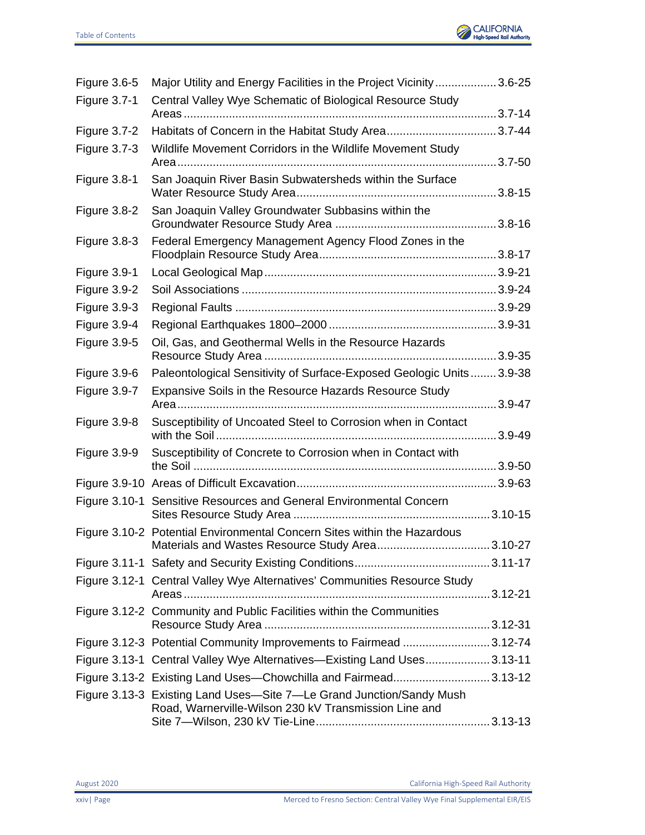

| Figure 3.6-5        | Major Utility and Energy Facilities in the Project Vicinity3.6-25                                                             |             |
|---------------------|-------------------------------------------------------------------------------------------------------------------------------|-------------|
| <b>Figure 3.7-1</b> | Central Valley Wye Schematic of Biological Resource Study                                                                     |             |
|                     |                                                                                                                               |             |
| Figure 3.7-2        |                                                                                                                               |             |
| <b>Figure 3.7-3</b> | Wildlife Movement Corridors in the Wildlife Movement Study                                                                    |             |
| Figure 3.8-1        | San Joaquin River Basin Subwatersheds within the Surface                                                                      |             |
| Figure 3.8-2        | San Joaquin Valley Groundwater Subbasins within the                                                                           |             |
| Figure 3.8-3        | Federal Emergency Management Agency Flood Zones in the                                                                        |             |
| Figure 3.9-1        |                                                                                                                               |             |
| Figure 3.9-2        |                                                                                                                               |             |
| <b>Figure 3.9-3</b> |                                                                                                                               |             |
| Figure 3.9-4        |                                                                                                                               |             |
| <b>Figure 3.9-5</b> | Oil, Gas, and Geothermal Wells in the Resource Hazards                                                                        |             |
| Figure 3.9-6        | Paleontological Sensitivity of Surface-Exposed Geologic Units 3.9-38                                                          |             |
| Figure 3.9-7        | Expansive Soils in the Resource Hazards Resource Study                                                                        |             |
| Figure 3.9-8        | Susceptibility of Uncoated Steel to Corrosion when in Contact                                                                 |             |
| Figure 3.9-9        | Susceptibility of Concrete to Corrosion when in Contact with                                                                  |             |
|                     |                                                                                                                               |             |
| Figure 3.10-1       | Sensitive Resources and General Environmental Concern                                                                         |             |
|                     | Figure 3.10-2 Potential Environmental Concern Sites within the Hazardous                                                      | $3.10 - 27$ |
|                     |                                                                                                                               |             |
|                     | Figure 3.12-1 Central Valley Wye Alternatives' Communities Resource Study                                                     |             |
|                     | Figure 3.12-2 Community and Public Facilities within the Communities                                                          |             |
|                     | Figure 3.12-3 Potential Community Improvements to Fairmead 3.12-74                                                            |             |
|                     | Figure 3.13-1 Central Valley Wye Alternatives—Existing Land Uses3.13-11                                                       |             |
|                     | Figure 3.13-2 Existing Land Uses-Chowchilla and Fairmead3.13-12                                                               |             |
|                     | Figure 3.13-3 Existing Land Uses-Site 7-Le Grand Junction/Sandy Mush<br>Road, Warnerville-Wilson 230 kV Transmission Line and |             |
|                     |                                                                                                                               |             |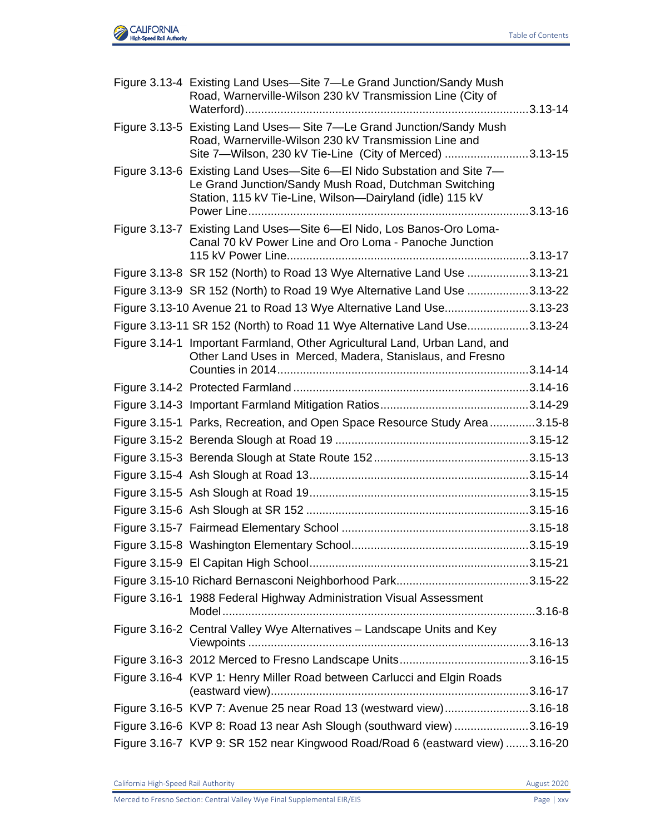

| Figure 3.13-4 Existing Land Uses—Site 7—Le Grand Junction/Sandy Mush<br>Road, Warnerville-Wilson 230 kV Transmission Line (City of                                                          |  |
|---------------------------------------------------------------------------------------------------------------------------------------------------------------------------------------------|--|
| Figure 3.13-5 Existing Land Uses-Site 7-Le Grand Junction/Sandy Mush<br>Road, Warnerville-Wilson 230 kV Transmission Line and<br>Site 7-Wilson, 230 kV Tie-Line (City of Merced) 3.13-15    |  |
| Figure 3.13-6 Existing Land Uses-Site 6-El Nido Substation and Site 7-<br>Le Grand Junction/Sandy Mush Road, Dutchman Switching<br>Station, 115 kV Tie-Line, Wilson-Dairyland (idle) 115 kV |  |
| Figure 3.13-7 Existing Land Uses-Site 6-El Nido, Los Banos-Oro Loma-<br>Canal 70 kV Power Line and Oro Loma - Panoche Junction                                                              |  |
| Figure 3.13-8 SR 152 (North) to Road 13 Wye Alternative Land Use 3.13-21                                                                                                                    |  |
| Figure 3.13-9 SR 152 (North) to Road 19 Wye Alternative Land Use 3.13-22                                                                                                                    |  |
| Figure 3.13-10 Avenue 21 to Road 13 Wye Alternative Land Use3.13-23                                                                                                                         |  |
| Figure 3.13-11 SR 152 (North) to Road 11 Wye Alternative Land Use3.13-24                                                                                                                    |  |
| Figure 3.14-1 Important Farmland, Other Agricultural Land, Urban Land, and<br>Other Land Uses in Merced, Madera, Stanislaus, and Fresno                                                     |  |
|                                                                                                                                                                                             |  |
|                                                                                                                                                                                             |  |
| Figure 3.15-1 Parks, Recreation, and Open Space Resource Study Area3.15-8                                                                                                                   |  |
|                                                                                                                                                                                             |  |
|                                                                                                                                                                                             |  |
|                                                                                                                                                                                             |  |
|                                                                                                                                                                                             |  |
|                                                                                                                                                                                             |  |
|                                                                                                                                                                                             |  |
|                                                                                                                                                                                             |  |
|                                                                                                                                                                                             |  |
|                                                                                                                                                                                             |  |
| Figure 3.16-1 1988 Federal Highway Administration Visual Assessment                                                                                                                         |  |
| Figure 3.16-2 Central Valley Wye Alternatives - Landscape Units and Key                                                                                                                     |  |
|                                                                                                                                                                                             |  |
| Figure 3.16-4 KVP 1: Henry Miller Road between Carlucci and Elgin Roads                                                                                                                     |  |
| Figure 3.16-5 KVP 7: Avenue 25 near Road 13 (westward view)3.16-18                                                                                                                          |  |
| Figure 3.16-6 KVP 8: Road 13 near Ash Slough (southward view) 3.16-19                                                                                                                       |  |
| Figure 3.16-7 KVP 9: SR 152 near Kingwood Road/Road 6 (eastward view) 3.16-20                                                                                                               |  |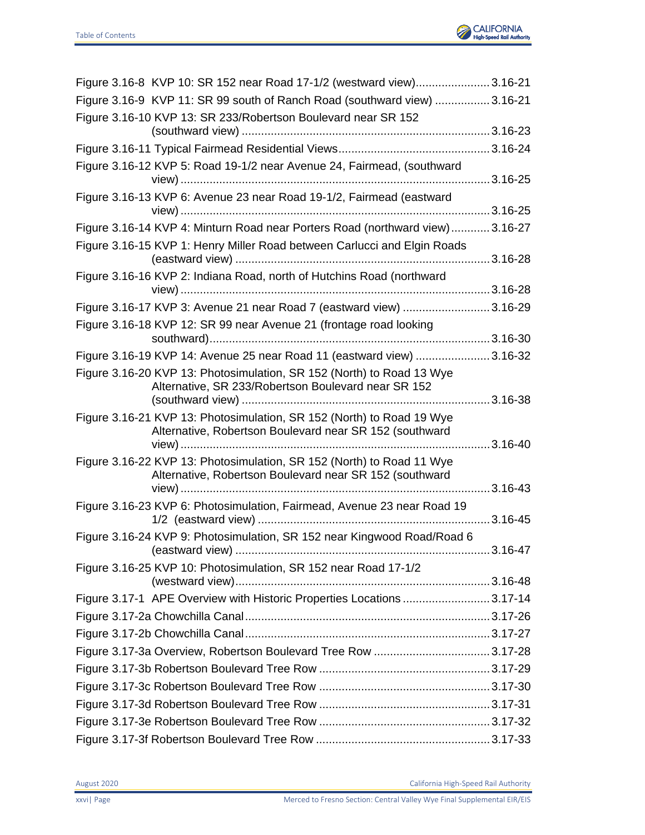

| Figure 3.16-8 KVP 10: SR 152 near Road 17-1/2 (westward view)3.16-21                                                             |  |
|----------------------------------------------------------------------------------------------------------------------------------|--|
| Figure 3.16-9 KVP 11: SR 99 south of Ranch Road (southward view)  3.16-21                                                        |  |
| Figure 3.16-10 KVP 13: SR 233/Robertson Boulevard near SR 152                                                                    |  |
|                                                                                                                                  |  |
|                                                                                                                                  |  |
| Figure 3.16-12 KVP 5: Road 19-1/2 near Avenue 24, Fairmead, (southward                                                           |  |
| Figure 3.16-13 KVP 6: Avenue 23 near Road 19-1/2, Fairmead (eastward                                                             |  |
| Figure 3.16-14 KVP 4: Minturn Road near Porters Road (northward view) 3.16-27                                                    |  |
| Figure 3.16-15 KVP 1: Henry Miller Road between Carlucci and Elgin Roads                                                         |  |
|                                                                                                                                  |  |
| Figure 3.16-16 KVP 2: Indiana Road, north of Hutchins Road (northward                                                            |  |
|                                                                                                                                  |  |
| Figure 3.16-17 KVP 3: Avenue 21 near Road 7 (eastward view) 3.16-29                                                              |  |
| Figure 3.16-18 KVP 12: SR 99 near Avenue 21 (frontage road looking                                                               |  |
| Figure 3.16-19 KVP 14: Avenue 25 near Road 11 (eastward view) 3.16-32                                                            |  |
| Figure 3.16-20 KVP 13: Photosimulation, SR 152 (North) to Road 13 Wye                                                            |  |
| Alternative, SR 233/Robertson Boulevard near SR 152                                                                              |  |
|                                                                                                                                  |  |
| Figure 3.16-21 KVP 13: Photosimulation, SR 152 (North) to Road 19 Wye<br>Alternative, Robertson Boulevard near SR 152 (southward |  |
| Figure 3.16-22 KVP 13: Photosimulation, SR 152 (North) to Road 11 Wye                                                            |  |
| Alternative, Robertson Boulevard near SR 152 (southward                                                                          |  |
|                                                                                                                                  |  |
| Figure 3.16-23 KVP 6: Photosimulation, Fairmead, Avenue 23 near Road 19                                                          |  |
| Figure 3.16-24 KVP 9: Photosimulation, SR 152 near Kingwood Road/Road 6                                                          |  |
|                                                                                                                                  |  |
| Figure 3.16-25 KVP 10: Photosimulation, SR 152 near Road 17-1/2                                                                  |  |
| Figure 3.17-1 APE Overview with Historic Properties Locations 3.17-14                                                            |  |
|                                                                                                                                  |  |
|                                                                                                                                  |  |
|                                                                                                                                  |  |
|                                                                                                                                  |  |
|                                                                                                                                  |  |
|                                                                                                                                  |  |
|                                                                                                                                  |  |
|                                                                                                                                  |  |